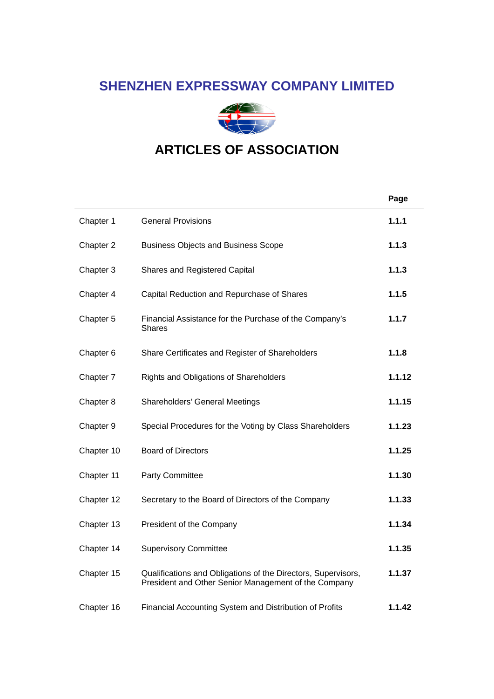# **SHENZHEN EXPRESSWAY COMPANY LIMITED**



# **ARTICLES OF ASSOCIATION**

|                      |                                                                                                                       | Page   |
|----------------------|-----------------------------------------------------------------------------------------------------------------------|--------|
| Chapter 1            | <b>General Provisions</b>                                                                                             | 1.1.1  |
| Chapter 2            | <b>Business Objects and Business Scope</b>                                                                            | 1.1.3  |
| Chapter 3            | <b>Shares and Registered Capital</b>                                                                                  | 1.1.3  |
| Chapter 4            | Capital Reduction and Repurchase of Shares                                                                            | 1.1.5  |
| Chapter 5            | Financial Assistance for the Purchase of the Company's<br>Shares                                                      | 1.1.7  |
| Chapter <sub>6</sub> | Share Certificates and Register of Shareholders                                                                       | 1.1.8  |
| Chapter 7            | Rights and Obligations of Shareholders                                                                                | 1.1.12 |
| Chapter 8            | Shareholders' General Meetings                                                                                        | 1.1.15 |
| Chapter 9            | Special Procedures for the Voting by Class Shareholders                                                               | 1.1.23 |
| Chapter 10           | <b>Board of Directors</b>                                                                                             | 1.1.25 |
| Chapter 11           | Party Committee                                                                                                       | 1.1.30 |
| Chapter 12           | Secretary to the Board of Directors of the Company                                                                    | 1.1.33 |
| Chapter 13           | President of the Company                                                                                              | 1.1.34 |
| Chapter 14           | <b>Supervisory Committee</b>                                                                                          | 1.1.35 |
| Chapter 15           | Qualifications and Obligations of the Directors, Supervisors,<br>President and Other Senior Management of the Company | 1.1.37 |
| Chapter 16           | Financial Accounting System and Distribution of Profits                                                               | 1.1.42 |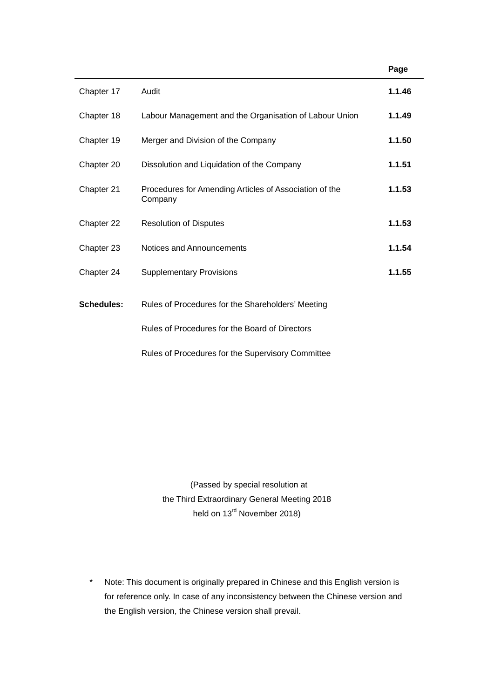|                   |                                                                   | Page   |
|-------------------|-------------------------------------------------------------------|--------|
| Chapter 17        | Audit                                                             | 1.1.46 |
| Chapter 18        | Labour Management and the Organisation of Labour Union            | 1.1.49 |
| Chapter 19        | Merger and Division of the Company                                | 1.1.50 |
| Chapter 20        | Dissolution and Liquidation of the Company                        | 1.1.51 |
| Chapter 21        | Procedures for Amending Articles of Association of the<br>Company | 1.1.53 |
| Chapter 22        | <b>Resolution of Disputes</b>                                     | 1.1.53 |
| Chapter 23        | Notices and Announcements                                         | 1.1.54 |
| Chapter 24        | <b>Supplementary Provisions</b>                                   | 1.1.55 |
| <b>Schedules:</b> | Rules of Procedures for the Shareholders' Meeting                 |        |
|                   | Rules of Procedures for the Board of Directors                    |        |
|                   | Rules of Procedures for the Supervisory Committee                 |        |

 (Passed by special resolution at the Third Extraordinary General Meeting 2018 held on 13<sup>rd</sup> November 2018)

\* Note: This document is originally prepared in Chinese and this English version is for reference only. In case of any inconsistency between the Chinese version and the English version, the Chinese version shall prevail.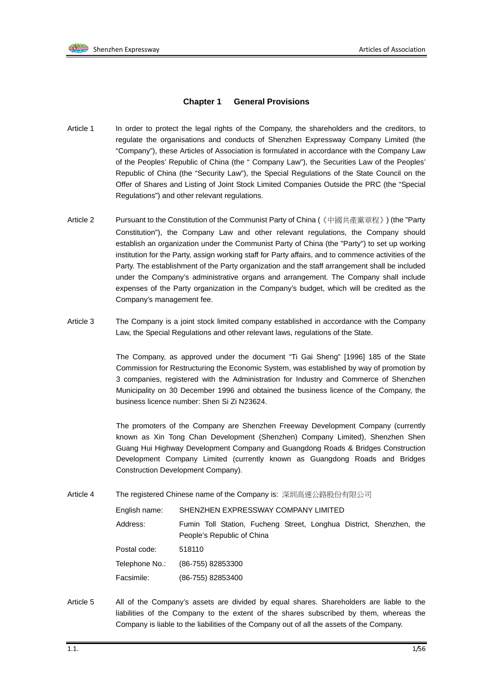#### **Chapter 1 General Provisions**

- Article 1 In order to protect the legal rights of the Company, the shareholders and the creditors, to regulate the organisations and conducts of Shenzhen Expressway Company Limited (the "Company"), these Articles of Association is formulated in accordance with the Company Law of the Peoples' Republic of China (the " Company Law"), the Securities Law of the Peoples' Republic of China (the "Security Law"), the Special Regulations of the State Council on the Offer of Shares and Listing of Joint Stock Limited Companies Outside the PRC (the "Special Regulations") and other relevant regulations.
- Article 2 Pursuant to the Constitution of the Communist Party of China (《中國共產黨章程》) (the "Party Constitution"), the Company Law and other relevant regulations, the Company should establish an organization under the Communist Party of China (the "Party") to set up working institution for the Party, assign working staff for Party affairs, and to commence activities of the Party. The establishment of the Party organization and the staff arrangement shall be included under the Company's administrative organs and arrangement. The Company shall include expenses of the Party organization in the Company's budget, which will be credited as the Company's management fee.
- Article 3 The Company is a joint stock limited company established in accordance with the Company Law, the Special Regulations and other relevant laws, regulations of the State.

The Company, as approved under the document "Ti Gai Sheng" [1996] 185 of the State Commission for Restructuring the Economic System, was established by way of promotion by 3 companies, registered with the Administration for Industry and Commerce of Shenzhen Municipality on 30 December 1996 and obtained the business licence of the Company, the business licence number: Shen Si Zi N23624.

The promoters of the Company are Shenzhen Freeway Development Company (currently known as Xin Tong Chan Development (Shenzhen) Company Limited), Shenzhen Shen Guang Hui Highway Development Company and Guangdong Roads & Bridges Construction Development Company Limited (currently known as Guangdong Roads and Bridges Construction Development Company).

Article 4 The registered Chinese name of the Company is: 深圳高速公路股份有限公司

| English name:  | SHENZHEN EXPRESSWAY COMPANY LIMITED                                                               |
|----------------|---------------------------------------------------------------------------------------------------|
| Address:       | Fumin Toll Station, Fucheng Street, Longhua District, Shenzhen, the<br>People's Republic of China |
| Postal code:   | 518110                                                                                            |
| Telephone No.: | (86-755) 82853300                                                                                 |
| Facsimile:     | (86-755) 82853400                                                                                 |

Article 5 All of the Company's assets are divided by equal shares. Shareholders are liable to the liabilities of the Company to the extent of the shares subscribed by them, whereas the Company is liable to the liabilities of the Company out of all the assets of the Company.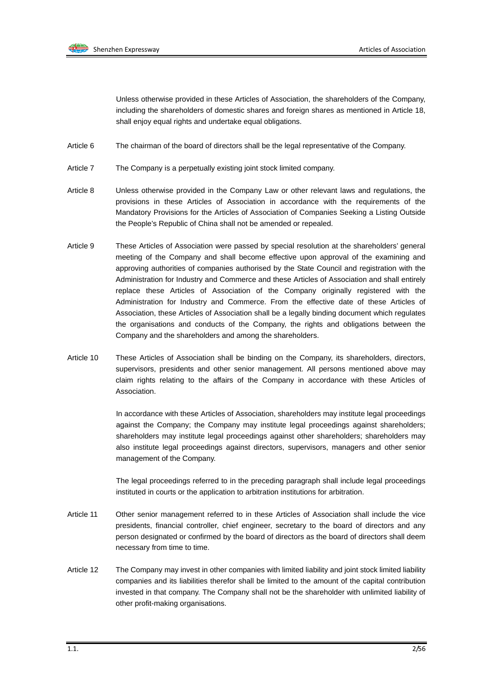

Unless otherwise provided in these Articles of Association, the shareholders of the Company, including the shareholders of domestic shares and foreign shares as mentioned in Article 18, shall enjoy equal rights and undertake equal obligations.

- Article 6 The chairman of the board of directors shall be the legal representative of the Company.
- Article 7 The Company is a perpetually existing joint stock limited company.
- Article 8 Unless otherwise provided in the Company Law or other relevant laws and regulations, the provisions in these Articles of Association in accordance with the requirements of the Mandatory Provisions for the Articles of Association of Companies Seeking a Listing Outside the People's Republic of China shall not be amended or repealed.
- Article 9 These Articles of Association were passed by special resolution at the shareholders' general meeting of the Company and shall become effective upon approval of the examining and approving authorities of companies authorised by the State Council and registration with the Administration for Industry and Commerce and these Articles of Association and shall entirely replace these Articles of Association of the Company originally registered with the Administration for Industry and Commerce. From the effective date of these Articles of Association, these Articles of Association shall be a legally binding document which regulates the organisations and conducts of the Company, the rights and obligations between the Company and the shareholders and among the shareholders.
- Article 10 These Articles of Association shall be binding on the Company, its shareholders, directors, supervisors, presidents and other senior management. All persons mentioned above may claim rights relating to the affairs of the Company in accordance with these Articles of Association.

In accordance with these Articles of Association, shareholders may institute legal proceedings against the Company; the Company may institute legal proceedings against shareholders; shareholders may institute legal proceedings against other shareholders; shareholders may also institute legal proceedings against directors, supervisors, managers and other senior management of the Company.

The legal proceedings referred to in the preceding paragraph shall include legal proceedings instituted in courts or the application to arbitration institutions for arbitration.

- Article 11 Other senior management referred to in these Articles of Association shall include the vice presidents, financial controller, chief engineer, secretary to the board of directors and any person designated or confirmed by the board of directors as the board of directors shall deem necessary from time to time.
- Article 12 The Company may invest in other companies with limited liability and joint stock limited liability companies and its liabilities therefor shall be limited to the amount of the capital contribution invested in that company. The Company shall not be the shareholder with unlimited liability of other profit-making organisations.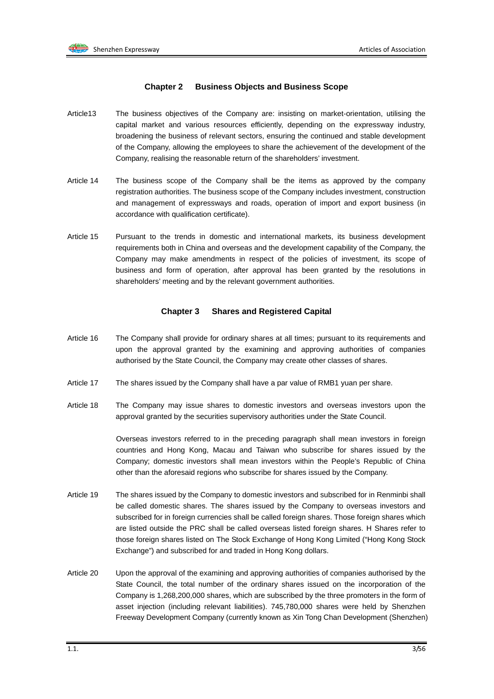#### **Chapter 2 Business Objects and Business Scope**

- Article13 The business objectives of the Company are: insisting on market-orientation, utilising the capital market and various resources efficiently, depending on the expressway industry, broadening the business of relevant sectors, ensuring the continued and stable development of the Company, allowing the employees to share the achievement of the development of the Company, realising the reasonable return of the shareholders' investment.
- Article 14 The business scope of the Company shall be the items as approved by the company registration authorities. The business scope of the Company includes investment, construction and management of expressways and roads, operation of import and export business (in accordance with qualification certificate).
- Article 15 Pursuant to the trends in domestic and international markets, its business development requirements both in China and overseas and the development capability of the Company, the Company may make amendments in respect of the policies of investment, its scope of business and form of operation, after approval has been granted by the resolutions in shareholders' meeting and by the relevant government authorities.

#### **Chapter 3 Shares and Registered Capital**

- Article 16 The Company shall provide for ordinary shares at all times; pursuant to its requirements and upon the approval granted by the examining and approving authorities of companies authorised by the State Council, the Company may create other classes of shares.
- Article 17 The shares issued by the Company shall have a par value of RMB1 yuan per share.
- Article 18 The Company may issue shares to domestic investors and overseas investors upon the approval granted by the securities supervisory authorities under the State Council.

Overseas investors referred to in the preceding paragraph shall mean investors in foreign countries and Hong Kong, Macau and Taiwan who subscribe for shares issued by the Company; domestic investors shall mean investors within the People's Republic of China other than the aforesaid regions who subscribe for shares issued by the Company.

- Article 19 The shares issued by the Company to domestic investors and subscribed for in Renminbi shall be called domestic shares. The shares issued by the Company to overseas investors and subscribed for in foreign currencies shall be called foreign shares. Those foreign shares which are listed outside the PRC shall be called overseas listed foreign shares. H Shares refer to those foreign shares listed on The Stock Exchange of Hong Kong Limited ("Hong Kong Stock Exchange") and subscribed for and traded in Hong Kong dollars.
- Article 20 Upon the approval of the examining and approving authorities of companies authorised by the State Council, the total number of the ordinary shares issued on the incorporation of the Company is 1,268,200,000 shares, which are subscribed by the three promoters in the form of asset injection (including relevant liabilities). 745,780,000 shares were held by Shenzhen Freeway Development Company (currently known as Xin Tong Chan Development (Shenzhen)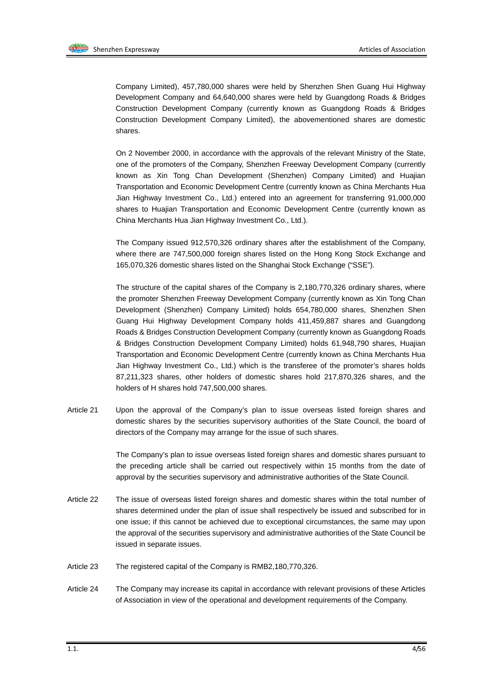Company Limited), 457,780,000 shares were held by Shenzhen Shen Guang Hui Highway Development Company and 64,640,000 shares were held by Guangdong Roads & Bridges Construction Development Company (currently known as Guangdong Roads & Bridges Construction Development Company Limited), the abovementioned shares are domestic shares.

On 2 November 2000, in accordance with the approvals of the relevant Ministry of the State, one of the promoters of the Company, Shenzhen Freeway Development Company (currently known as Xin Tong Chan Development (Shenzhen) Company Limited) and Huajian Transportation and Economic Development Centre (currently known as China Merchants Hua Jian Highway Investment Co., Ltd.) entered into an agreement for transferring 91,000,000 shares to Huajian Transportation and Economic Development Centre (currently known as China Merchants Hua Jian Highway Investment Co., Ltd.).

The Company issued 912,570,326 ordinary shares after the establishment of the Company, where there are 747,500,000 foreign shares listed on the Hong Kong Stock Exchange and 165,070,326 domestic shares listed on the Shanghai Stock Exchange ("SSE").

The structure of the capital shares of the Company is 2,180,770,326 ordinary shares, where the promoter Shenzhen Freeway Development Company (currently known as Xin Tong Chan Development (Shenzhen) Company Limited) holds 654,780,000 shares, Shenzhen Shen Guang Hui Highway Development Company holds 411,459,887 shares and Guangdong Roads & Bridges Construction Development Company (currently known as Guangdong Roads & Bridges Construction Development Company Limited) holds 61,948,790 shares, Huajian Transportation and Economic Development Centre (currently known as China Merchants Hua Jian Highway Investment Co., Ltd.) which is the transferee of the promoter's shares holds 87,211,323 shares, other holders of domestic shares hold 217,870,326 shares, and the holders of H shares hold 747,500,000 shares.

Article 21 Upon the approval of the Company's plan to issue overseas listed foreign shares and domestic shares by the securities supervisory authorities of the State Council, the board of directors of the Company may arrange for the issue of such shares.

> The Company's plan to issue overseas listed foreign shares and domestic shares pursuant to the preceding article shall be carried out respectively within 15 months from the date of approval by the securities supervisory and administrative authorities of the State Council.

- Article 22 The issue of overseas listed foreign shares and domestic shares within the total number of shares determined under the plan of issue shall respectively be issued and subscribed for in one issue; if this cannot be achieved due to exceptional circumstances, the same may upon the approval of the securities supervisory and administrative authorities of the State Council be issued in separate issues.
- Article 23 The registered capital of the Company is RMB2,180,770,326.
- Article 24 The Company may increase its capital in accordance with relevant provisions of these Articles of Association in view of the operational and development requirements of the Company.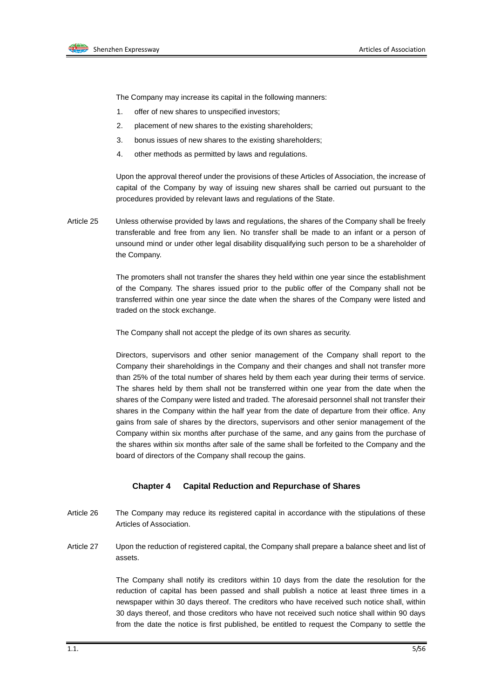

The Company may increase its capital in the following manners:

- 1. offer of new shares to unspecified investors;
- 2. placement of new shares to the existing shareholders;
- 3. bonus issues of new shares to the existing shareholders;
- 4. other methods as permitted by laws and regulations.

Upon the approval thereof under the provisions of these Articles of Association, the increase of capital of the Company by way of issuing new shares shall be carried out pursuant to the procedures provided by relevant laws and regulations of the State.

Article 25 Unless otherwise provided by laws and regulations, the shares of the Company shall be freely transferable and free from any lien. No transfer shall be made to an infant or a person of unsound mind or under other legal disability disqualifying such person to be a shareholder of the Company.

> The promoters shall not transfer the shares they held within one year since the establishment of the Company. The shares issued prior to the public offer of the Company shall not be transferred within one year since the date when the shares of the Company were listed and traded on the stock exchange.

The Company shall not accept the pledge of its own shares as security.

Directors, supervisors and other senior management of the Company shall report to the Company their shareholdings in the Company and their changes and shall not transfer more than 25% of the total number of shares held by them each year during their terms of service. The shares held by them shall not be transferred within one year from the date when the shares of the Company were listed and traded. The aforesaid personnel shall not transfer their shares in the Company within the half year from the date of departure from their office. Any gains from sale of shares by the directors, supervisors and other senior management of the Company within six months after purchase of the same, and any gains from the purchase of the shares within six months after sale of the same shall be forfeited to the Company and the board of directors of the Company shall recoup the gains.

#### **Chapter 4 Capital Reduction and Repurchase of Shares**

- Article 26 The Company may reduce its registered capital in accordance with the stipulations of these Articles of Association.
- Article 27 Upon the reduction of registered capital, the Company shall prepare a balance sheet and list of assets.

The Company shall notify its creditors within 10 days from the date the resolution for the reduction of capital has been passed and shall publish a notice at least three times in a newspaper within 30 days thereof. The creditors who have received such notice shall, within 30 days thereof, and those creditors who have not received such notice shall within 90 days from the date the notice is first published, be entitled to request the Company to settle the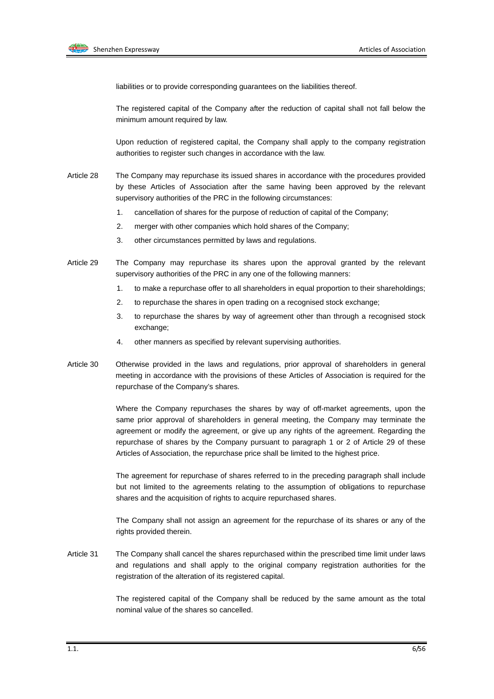

liabilities or to provide corresponding guarantees on the liabilities thereof.

The registered capital of the Company after the reduction of capital shall not fall below the minimum amount required by law.

Upon reduction of registered capital, the Company shall apply to the company registration authorities to register such changes in accordance with the law.

- Article 28 The Company may repurchase its issued shares in accordance with the procedures provided by these Articles of Association after the same having been approved by the relevant supervisory authorities of the PRC in the following circumstances:
	- 1. cancellation of shares for the purpose of reduction of capital of the Company;
	- 2. merger with other companies which hold shares of the Company;
	- 3. other circumstances permitted by laws and regulations.
- Article 29 The Company may repurchase its shares upon the approval granted by the relevant supervisory authorities of the PRC in any one of the following manners:
	- 1. to make a repurchase offer to all shareholders in equal proportion to their shareholdings;
	- 2. to repurchase the shares in open trading on a recognised stock exchange;
	- 3. to repurchase the shares by way of agreement other than through a recognised stock exchange;
	- 4. other manners as specified by relevant supervising authorities.
- Article 30 Otherwise provided in the laws and regulations, prior approval of shareholders in general meeting in accordance with the provisions of these Articles of Association is required for the repurchase of the Company's shares.

Where the Company repurchases the shares by way of off-market agreements, upon the same prior approval of shareholders in general meeting, the Company may terminate the agreement or modify the agreement, or give up any rights of the agreement. Regarding the repurchase of shares by the Company pursuant to paragraph 1 or 2 of Article 29 of these Articles of Association, the repurchase price shall be limited to the highest price.

The agreement for repurchase of shares referred to in the preceding paragraph shall include but not limited to the agreements relating to the assumption of obligations to repurchase shares and the acquisition of rights to acquire repurchased shares.

The Company shall not assign an agreement for the repurchase of its shares or any of the rights provided therein.

Article 31 The Company shall cancel the shares repurchased within the prescribed time limit under laws and regulations and shall apply to the original company registration authorities for the registration of the alteration of its registered capital.

> The registered capital of the Company shall be reduced by the same amount as the total nominal value of the shares so cancelled.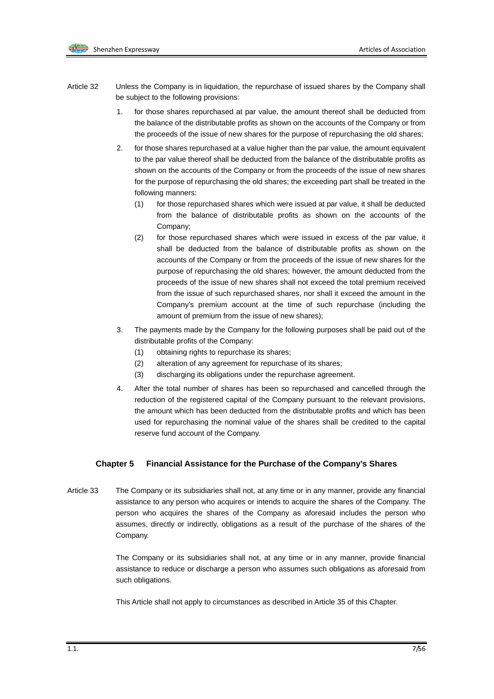- Article 32 Unless the Company is in liquidation, the repurchase of issued shares by the Company shall be subject to the following provisions:
	- 1. for those shares repurchased at par value, the amount thereof shall be deducted from the balance of the distributable profits as shown on the accounts of the Company or from the proceeds of the issue of new shares for the purpose of repurchasing the old shares;
	- 2. for those shares repurchased at a value higher than the par value, the amount equivalent to the par value thereof shall be deducted from the balance of the distributable profits as shown on the accounts of the Company or from the proceeds of the issue of new shares for the purpose of repurchasing the old shares; the exceeding part shall be treated in the following manners:
		- (1) for those repurchased shares which were issued at par value, it shall be deducted from the balance of distributable profits as shown on the accounts of the Company;
		- (2) for those repurchased shares which were issued in excess of the par value, it shall be deducted from the balance of distributable profits as shown on the accounts of the Company or from the proceeds of the issue of new shares for the purpose of repurchasing the old shares; however, the amount deducted from the proceeds of the issue of new shares shall not exceed the total premium received from the issue of such repurchased shares, nor shall it exceed the amount in the Company's premium account at the time of such repurchase (including the amount of premium from the issue of new shares);
	- 3. The payments made by the Company for the following purposes shall be paid out of the distributable profits of the Company:
		- (1) obtaining rights to repurchase its shares;
		- (2) alteration of any agreement for repurchase of its shares;
		- (3) discharging its obligations under the repurchase agreement.
	- 4. After the total number of shares has been so repurchased and cancelled through the reduction of the registered capital of the Company pursuant to the relevant provisions, the amount which has been deducted from the distributable profits and which has been used for repurchasing the nominal value of the shares shall be credited to the capital reserve fund account of the Company.

#### **Chapter 5 Financial Assistance for the Purchase of the Company's Shares**

Article 33 The Company or its subsidiaries shall not, at any time or in any manner, provide any financial assistance to any person who acquires or intends to acquire the shares of the Company. The person who acquires the shares of the Company as aforesaid includes the person who assumes, directly or indirectly, obligations as a result of the purchase of the shares of the Company.

> The Company or its subsidiaries shall not, at any time or in any manner, provide financial assistance to reduce or discharge a person who assumes such obligations as aforesaid from such obligations.

This Article shall not apply to circumstances as described in Article 35 of this Chapter.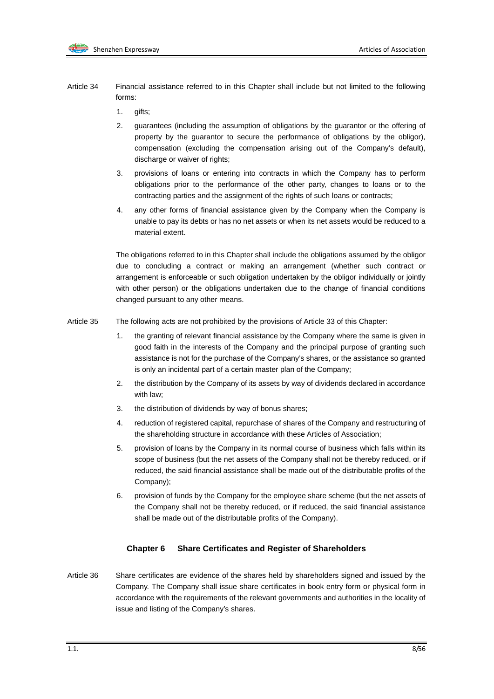- Article 34 Financial assistance referred to in this Chapter shall include but not limited to the following forms:
	- 1. gifts;
	- 2. guarantees (including the assumption of obligations by the guarantor or the offering of property by the guarantor to secure the performance of obligations by the obligor), compensation (excluding the compensation arising out of the Company's default), discharge or waiver of rights;
	- 3. provisions of loans or entering into contracts in which the Company has to perform obligations prior to the performance of the other party, changes to loans or to the contracting parties and the assignment of the rights of such loans or contracts;
	- 4. any other forms of financial assistance given by the Company when the Company is unable to pay its debts or has no net assets or when its net assets would be reduced to a material extent.

The obligations referred to in this Chapter shall include the obligations assumed by the obligor due to concluding a contract or making an arrangement (whether such contract or arrangement is enforceable or such obligation undertaken by the obligor individually or jointly with other person) or the obligations undertaken due to the change of financial conditions changed pursuant to any other means.

- Article 35 The following acts are not prohibited by the provisions of Article 33 of this Chapter:
	- 1. the granting of relevant financial assistance by the Company where the same is given in good faith in the interests of the Company and the principal purpose of granting such assistance is not for the purchase of the Company's shares, or the assistance so granted is only an incidental part of a certain master plan of the Company;
	- 2. the distribution by the Company of its assets by way of dividends declared in accordance with law;
	- 3. the distribution of dividends by way of bonus shares;
	- 4. reduction of registered capital, repurchase of shares of the Company and restructuring of the shareholding structure in accordance with these Articles of Association;
	- 5. provision of loans by the Company in its normal course of business which falls within its scope of business (but the net assets of the Company shall not be thereby reduced, or if reduced, the said financial assistance shall be made out of the distributable profits of the Company);
	- 6. provision of funds by the Company for the employee share scheme (but the net assets of the Company shall not be thereby reduced, or if reduced, the said financial assistance shall be made out of the distributable profits of the Company).

#### **Chapter 6 Share Certificates and Register of Shareholders**

Article 36 Share certificates are evidence of the shares held by shareholders signed and issued by the Company. The Company shall issue share certificates in book entry form or physical form in accordance with the requirements of the relevant governments and authorities in the locality of issue and listing of the Company's shares.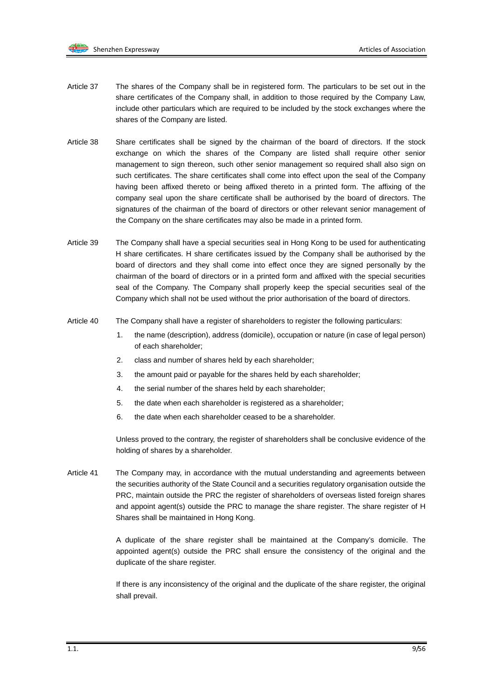- Article 37 The shares of the Company shall be in registered form. The particulars to be set out in the share certificates of the Company shall, in addition to those required by the Company Law, include other particulars which are required to be included by the stock exchanges where the shares of the Company are listed.
- Article 38 Share certificates shall be signed by the chairman of the board of directors. If the stock exchange on which the shares of the Company are listed shall require other senior management to sign thereon, such other senior management so required shall also sign on such certificates. The share certificates shall come into effect upon the seal of the Company having been affixed thereto or being affixed thereto in a printed form. The affixing of the company seal upon the share certificate shall be authorised by the board of directors. The signatures of the chairman of the board of directors or other relevant senior management of the Company on the share certificates may also be made in a printed form.
- Article 39 The Company shall have a special securities seal in Hong Kong to be used for authenticating H share certificates. H share certificates issued by the Company shall be authorised by the board of directors and they shall come into effect once they are signed personally by the chairman of the board of directors or in a printed form and affixed with the special securities seal of the Company. The Company shall properly keep the special securities seal of the Company which shall not be used without the prior authorisation of the board of directors.
- Article 40 The Company shall have a register of shareholders to register the following particulars:
	- 1. the name (description), address (domicile), occupation or nature (in case of legal person) of each shareholder;
	- 2. class and number of shares held by each shareholder;
	- 3. the amount paid or payable for the shares held by each shareholder;
	- 4. the serial number of the shares held by each shareholder;
	- 5. the date when each shareholder is registered as a shareholder;
	- 6. the date when each shareholder ceased to be a shareholder.

Unless proved to the contrary, the register of shareholders shall be conclusive evidence of the holding of shares by a shareholder.

Article 41 The Company may, in accordance with the mutual understanding and agreements between the securities authority of the State Council and a securities regulatory organisation outside the PRC, maintain outside the PRC the register of shareholders of overseas listed foreign shares and appoint agent(s) outside the PRC to manage the share register. The share register of H Shares shall be maintained in Hong Kong.

> A duplicate of the share register shall be maintained at the Company's domicile. The appointed agent(s) outside the PRC shall ensure the consistency of the original and the duplicate of the share register.

> If there is any inconsistency of the original and the duplicate of the share register, the original shall prevail.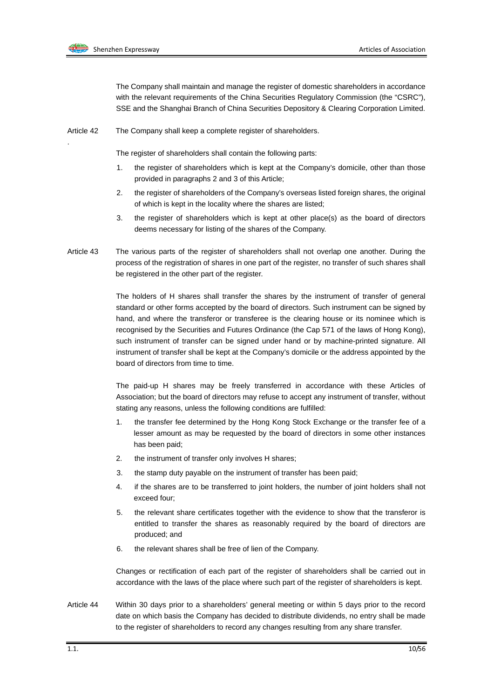

.

The Company shall maintain and manage the register of domestic shareholders in accordance with the relevant requirements of the China Securities Regulatory Commission (the "CSRC"), SSE and the Shanghai Branch of China Securities Depository & Clearing Corporation Limited.

Article 42 The Company shall keep a complete register of shareholders.

The register of shareholders shall contain the following parts:

- 1. the register of shareholders which is kept at the Company's domicile, other than those provided in paragraphs 2 and 3 of this Article;
- 2. the register of shareholders of the Company's overseas listed foreign shares, the original of which is kept in the locality where the shares are listed;
- 3. the register of shareholders which is kept at other place(s) as the board of directors deems necessary for listing of the shares of the Company.
- Article 43 The various parts of the register of shareholders shall not overlap one another. During the process of the registration of shares in one part of the register, no transfer of such shares shall be registered in the other part of the register.

The holders of H shares shall transfer the shares by the instrument of transfer of general standard or other forms accepted by the board of directors. Such instrument can be signed by hand, and where the transferor or transferee is the clearing house or its nominee which is recognised by the Securities and Futures Ordinance (the Cap 571 of the laws of Hong Kong), such instrument of transfer can be signed under hand or by machine-printed signature. All instrument of transfer shall be kept at the Company's domicile or the address appointed by the board of directors from time to time.

The paid-up H shares may be freely transferred in accordance with these Articles of Association; but the board of directors may refuse to accept any instrument of transfer, without stating any reasons, unless the following conditions are fulfilled:

- 1. the transfer fee determined by the Hong Kong Stock Exchange or the transfer fee of a lesser amount as may be requested by the board of directors in some other instances has been paid;
- 2. the instrument of transfer only involves H shares;
- 3. the stamp duty payable on the instrument of transfer has been paid;
- 4. if the shares are to be transferred to joint holders, the number of joint holders shall not exceed four;
- 5. the relevant share certificates together with the evidence to show that the transferor is entitled to transfer the shares as reasonably required by the board of directors are produced; and
- 6. the relevant shares shall be free of lien of the Company.

Changes or rectification of each part of the register of shareholders shall be carried out in accordance with the laws of the place where such part of the register of shareholders is kept.

Article 44 Within 30 days prior to a shareholders' general meeting or within 5 days prior to the record date on which basis the Company has decided to distribute dividends, no entry shall be made to the register of shareholders to record any changes resulting from any share transfer.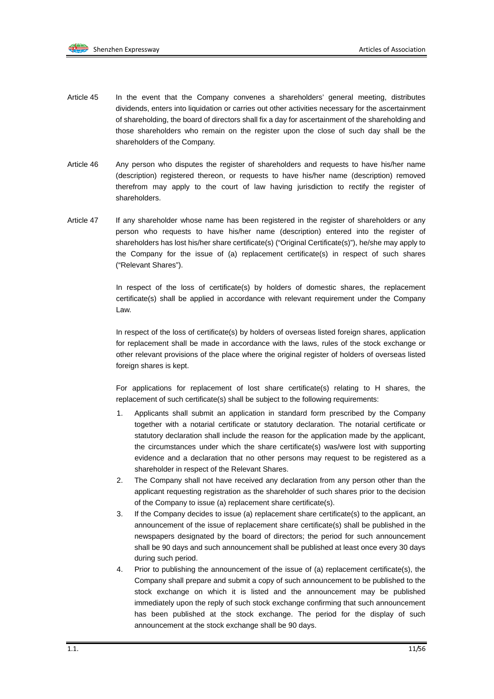

- Article 45 In the event that the Company convenes a shareholders' general meeting, distributes dividends, enters into liquidation or carries out other activities necessary for the ascertainment of shareholding, the board of directors shall fix a day for ascertainment of the shareholding and those shareholders who remain on the register upon the close of such day shall be the shareholders of the Company.
- Article 46 Any person who disputes the register of shareholders and requests to have his/her name (description) registered thereon, or requests to have his/her name (description) removed therefrom may apply to the court of law having jurisdiction to rectify the register of shareholders.
- Article 47 If any shareholder whose name has been registered in the register of shareholders or any person who requests to have his/her name (description) entered into the register of shareholders has lost his/her share certificate(s) ("Original Certificate(s)"), he/she may apply to the Company for the issue of (a) replacement certificate(s) in respect of such shares ("Relevant Shares").

In respect of the loss of certificate(s) by holders of domestic shares, the replacement certificate(s) shall be applied in accordance with relevant requirement under the Company Law.

In respect of the loss of certificate(s) by holders of overseas listed foreign shares, application for replacement shall be made in accordance with the laws, rules of the stock exchange or other relevant provisions of the place where the original register of holders of overseas listed foreign shares is kept.

For applications for replacement of lost share certificate(s) relating to H shares, the replacement of such certificate(s) shall be subject to the following requirements:

- 1. Applicants shall submit an application in standard form prescribed by the Company together with a notarial certificate or statutory declaration. The notarial certificate or statutory declaration shall include the reason for the application made by the applicant, the circumstances under which the share certificate(s) was/were lost with supporting evidence and a declaration that no other persons may request to be registered as a shareholder in respect of the Relevant Shares.
- 2. The Company shall not have received any declaration from any person other than the applicant requesting registration as the shareholder of such shares prior to the decision of the Company to issue (a) replacement share certificate(s).
- 3. If the Company decides to issue (a) replacement share certificate(s) to the applicant, an announcement of the issue of replacement share certificate(s) shall be published in the newspapers designated by the board of directors; the period for such announcement shall be 90 days and such announcement shall be published at least once every 30 days during such period.
- 4. Prior to publishing the announcement of the issue of (a) replacement certificate(s), the Company shall prepare and submit a copy of such announcement to be published to the stock exchange on which it is listed and the announcement may be published immediately upon the reply of such stock exchange confirming that such announcement has been published at the stock exchange. The period for the display of such announcement at the stock exchange shall be 90 days.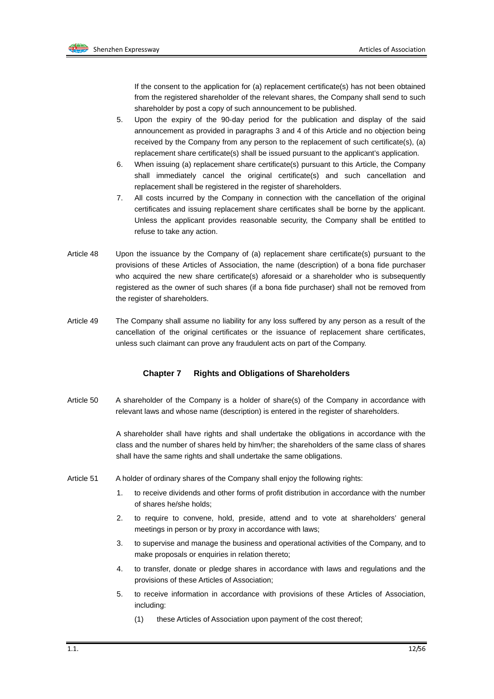If the consent to the application for (a) replacement certificate(s) has not been obtained from the registered shareholder of the relevant shares, the Company shall send to such shareholder by post a copy of such announcement to be published.

- 5. Upon the expiry of the 90-day period for the publication and display of the said announcement as provided in paragraphs 3 and 4 of this Article and no objection being received by the Company from any person to the replacement of such certificate(s), (a) replacement share certificate(s) shall be issued pursuant to the applicant's application.
- 6. When issuing (a) replacement share certificate(s) pursuant to this Article, the Company shall immediately cancel the original certificate(s) and such cancellation and replacement shall be registered in the register of shareholders.
- 7. All costs incurred by the Company in connection with the cancellation of the original certificates and issuing replacement share certificates shall be borne by the applicant. Unless the applicant provides reasonable security, the Company shall be entitled to refuse to take any action.
- Article 48 Upon the issuance by the Company of (a) replacement share certificate(s) pursuant to the provisions of these Articles of Association, the name (description) of a bona fide purchaser who acquired the new share certificate(s) aforesaid or a shareholder who is subsequently registered as the owner of such shares (if a bona fide purchaser) shall not be removed from the register of shareholders.
- Article 49 The Company shall assume no liability for any loss suffered by any person as a result of the cancellation of the original certificates or the issuance of replacement share certificates, unless such claimant can prove any fraudulent acts on part of the Company.

#### **Chapter 7 Rights and Obligations of Shareholders**

Article 50 A shareholder of the Company is a holder of share(s) of the Company in accordance with relevant laws and whose name (description) is entered in the register of shareholders.

> A shareholder shall have rights and shall undertake the obligations in accordance with the class and the number of shares held by him/her; the shareholders of the same class of shares shall have the same rights and shall undertake the same obligations.

- Article 51 A holder of ordinary shares of the Company shall enjoy the following rights:
	- 1. to receive dividends and other forms of profit distribution in accordance with the number of shares he/she holds;
	- 2. to require to convene, hold, preside, attend and to vote at shareholders' general meetings in person or by proxy in accordance with laws;
	- 3. to supervise and manage the business and operational activities of the Company, and to make proposals or enquiries in relation thereto;
	- 4. to transfer, donate or pledge shares in accordance with laws and regulations and the provisions of these Articles of Association;
	- 5. to receive information in accordance with provisions of these Articles of Association, including:
		- (1) these Articles of Association upon payment of the cost thereof;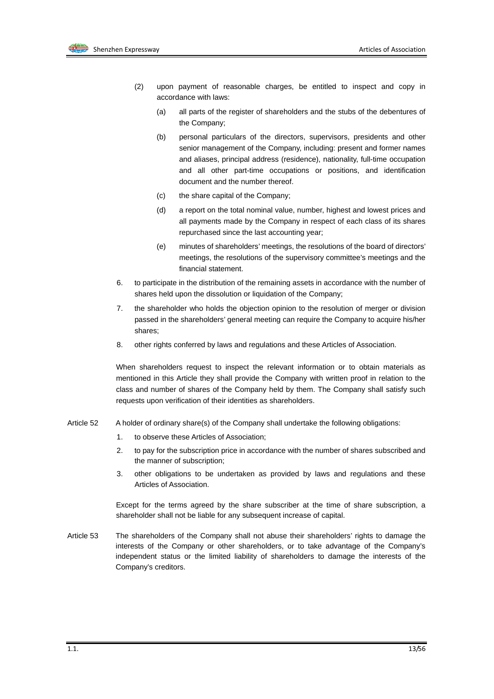- (2) upon payment of reasonable charges, be entitled to inspect and copy in accordance with laws:
	- (a) all parts of the register of shareholders and the stubs of the debentures of the Company;
	- (b) personal particulars of the directors, supervisors, presidents and other senior management of the Company, including: present and former names and aliases, principal address (residence), nationality, full-time occupation and all other part-time occupations or positions, and identification document and the number thereof.
	- (c) the share capital of the Company;
	- (d) a report on the total nominal value, number, highest and lowest prices and all payments made by the Company in respect of each class of its shares repurchased since the last accounting year;
	- (e) minutes of shareholders' meetings, the resolutions of the board of directors' meetings, the resolutions of the supervisory committee's meetings and the financial statement.
- 6. to participate in the distribution of the remaining assets in accordance with the number of shares held upon the dissolution or liquidation of the Company;
- 7. the shareholder who holds the objection opinion to the resolution of merger or division passed in the shareholders' general meeting can require the Company to acquire his/her shares;
- 8. other rights conferred by laws and regulations and these Articles of Association.

When shareholders request to inspect the relevant information or to obtain materials as mentioned in this Article they shall provide the Company with written proof in relation to the class and number of shares of the Company held by them. The Company shall satisfy such requests upon verification of their identities as shareholders.

- Article 52 A holder of ordinary share(s) of the Company shall undertake the following obligations:
	- 1. to observe these Articles of Association;
	- 2. to pay for the subscription price in accordance with the number of shares subscribed and the manner of subscription;
	- 3. other obligations to be undertaken as provided by laws and regulations and these Articles of Association.

Except for the terms agreed by the share subscriber at the time of share subscription, a shareholder shall not be liable for any subsequent increase of capital.

Article 53 The shareholders of the Company shall not abuse their shareholders' rights to damage the interests of the Company or other shareholders, or to take advantage of the Company's independent status or the limited liability of shareholders to damage the interests of the Company's creditors.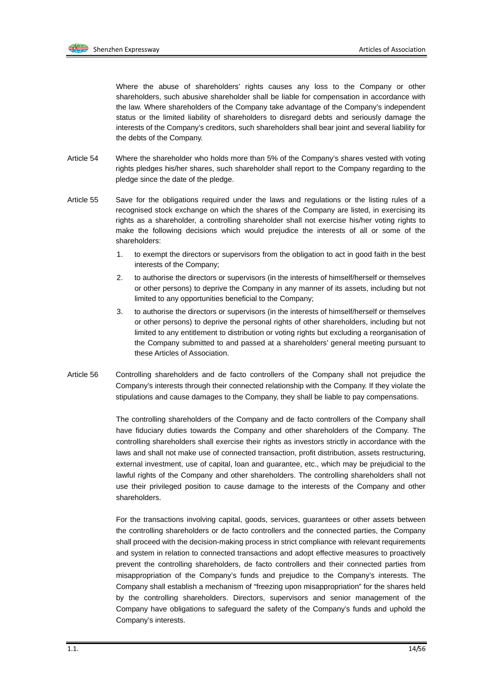

Where the abuse of shareholders' rights causes any loss to the Company or other shareholders, such abusive shareholder shall be liable for compensation in accordance with the law. Where shareholders of the Company take advantage of the Company's independent status or the limited liability of shareholders to disregard debts and seriously damage the interests of the Company's creditors, such shareholders shall bear joint and several liability for the debts of the Company.

- Article 54 Where the shareholder who holds more than 5% of the Company's shares vested with voting rights pledges his/her shares, such shareholder shall report to the Company regarding to the pledge since the date of the pledge.
- Article 55 Save for the obligations required under the laws and regulations or the listing rules of a recognised stock exchange on which the shares of the Company are listed, in exercising its rights as a shareholder, a controlling shareholder shall not exercise his/her voting rights to make the following decisions which would prejudice the interests of all or some of the shareholders:
	- 1. to exempt the directors or supervisors from the obligation to act in good faith in the best interests of the Company;
	- 2. to authorise the directors or supervisors (in the interests of himself/herself or themselves or other persons) to deprive the Company in any manner of its assets, including but not limited to any opportunities beneficial to the Company;
	- 3. to authorise the directors or supervisors (in the interests of himself/herself or themselves or other persons) to deprive the personal rights of other shareholders, including but not limited to any entitlement to distribution or voting rights but excluding a reorganisation of the Company submitted to and passed at a shareholders' general meeting pursuant to these Articles of Association.
- Article 56 Controlling shareholders and de facto controllers of the Company shall not prejudice the Company's interests through their connected relationship with the Company. If they violate the stipulations and cause damages to the Company, they shall be liable to pay compensations.

The controlling shareholders of the Company and de facto controllers of the Company shall have fiduciary duties towards the Company and other shareholders of the Company. The controlling shareholders shall exercise their rights as investors strictly in accordance with the laws and shall not make use of connected transaction, profit distribution, assets restructuring, external investment, use of capital, loan and guarantee, etc., which may be prejudicial to the lawful rights of the Company and other shareholders. The controlling shareholders shall not use their privileged position to cause damage to the interests of the Company and other shareholders.

For the transactions involving capital, goods, services, guarantees or other assets between the controlling shareholders or de facto controllers and the connected parties, the Company shall proceed with the decision-making process in strict compliance with relevant requirements and system in relation to connected transactions and adopt effective measures to proactively prevent the controlling shareholders, de facto controllers and their connected parties from misappropriation of the Company's funds and prejudice to the Company's interests. The Company shall establish a mechanism of "freezing upon misappropriation" for the shares held by the controlling shareholders. Directors, supervisors and senior management of the Company have obligations to safeguard the safety of the Company's funds and uphold the Company's interests.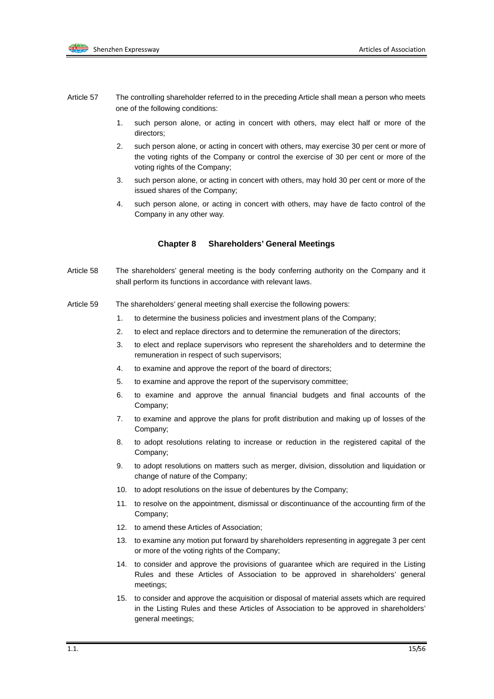

- Article 57 The controlling shareholder referred to in the preceding Article shall mean a person who meets one of the following conditions:
	- 1. such person alone, or acting in concert with others, may elect half or more of the directors;
	- 2. such person alone, or acting in concert with others, may exercise 30 per cent or more of the voting rights of the Company or control the exercise of 30 per cent or more of the voting rights of the Company;
	- 3. such person alone, or acting in concert with others, may hold 30 per cent or more of the issued shares of the Company;
	- 4. such person alone, or acting in concert with others, may have de facto control of the Company in any other way.

#### **Chapter 8 Shareholders' General Meetings**

- Article 58 The shareholders' general meeting is the body conferring authority on the Company and it shall perform its functions in accordance with relevant laws.
- Article 59 The shareholders' general meeting shall exercise the following powers:
	- 1. to determine the business policies and investment plans of the Company;
	- 2. to elect and replace directors and to determine the remuneration of the directors;
	- 3. to elect and replace supervisors who represent the shareholders and to determine the remuneration in respect of such supervisors;
	- 4. to examine and approve the report of the board of directors;
	- 5. to examine and approve the report of the supervisory committee;
	- 6. to examine and approve the annual financial budgets and final accounts of the Company;
	- 7. to examine and approve the plans for profit distribution and making up of losses of the Company;
	- 8. to adopt resolutions relating to increase or reduction in the registered capital of the Company;
	- 9. to adopt resolutions on matters such as merger, division, dissolution and liquidation or change of nature of the Company;
	- 10. to adopt resolutions on the issue of debentures by the Company;
	- 11. to resolve on the appointment, dismissal or discontinuance of the accounting firm of the Company;
	- 12. to amend these Articles of Association;
	- 13. to examine any motion put forward by shareholders representing in aggregate 3 per cent or more of the voting rights of the Company;
	- 14. to consider and approve the provisions of guarantee which are required in the Listing Rules and these Articles of Association to be approved in shareholders' general meetings;
	- 15. to consider and approve the acquisition or disposal of material assets which are required in the Listing Rules and these Articles of Association to be approved in shareholders' general meetings;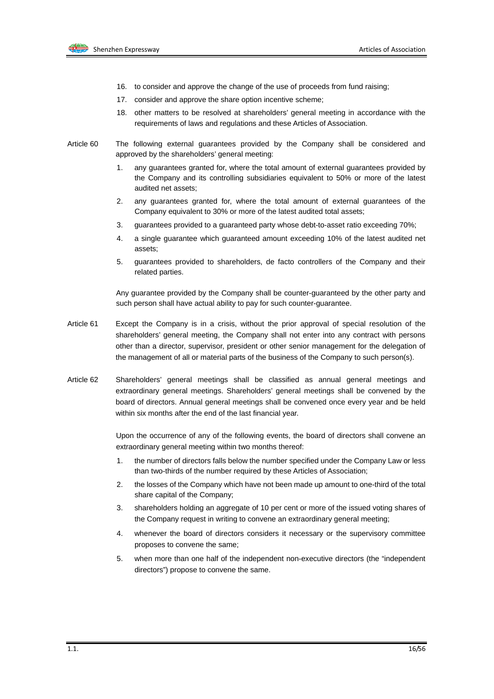

- 16. to consider and approve the change of the use of proceeds from fund raising;
- 17. consider and approve the share option incentive scheme;
- 18. other matters to be resolved at shareholders' general meeting in accordance with the requirements of laws and regulations and these Articles of Association.
- Article 60 The following external guarantees provided by the Company shall be considered and approved by the shareholders' general meeting:
	- 1. any guarantees granted for, where the total amount of external guarantees provided by the Company and its controlling subsidiaries equivalent to 50% or more of the latest audited net assets;
	- 2. any guarantees granted for, where the total amount of external guarantees of the Company equivalent to 30% or more of the latest audited total assets;
	- 3. guarantees provided to a guaranteed party whose debt-to-asset ratio exceeding 70%;
	- 4. a single guarantee which guaranteed amount exceeding 10% of the latest audited net assets;
	- 5. guarantees provided to shareholders, de facto controllers of the Company and their related parties.

Any guarantee provided by the Company shall be counter-guaranteed by the other party and such person shall have actual ability to pay for such counter-guarantee.

- Article 61 Except the Company is in a crisis, without the prior approval of special resolution of the shareholders' general meeting, the Company shall not enter into any contract with persons other than a director, supervisor, president or other senior management for the delegation of the management of all or material parts of the business of the Company to such person(s).
- Article 62 Shareholders' general meetings shall be classified as annual general meetings and extraordinary general meetings. Shareholders' general meetings shall be convened by the board of directors. Annual general meetings shall be convened once every year and be held within six months after the end of the last financial year.

Upon the occurrence of any of the following events, the board of directors shall convene an extraordinary general meeting within two months thereof:

- 1. the number of directors falls below the number specified under the Company Law or less than two-thirds of the number required by these Articles of Association;
- 2. the losses of the Company which have not been made up amount to one-third of the total share capital of the Company;
- 3. shareholders holding an aggregate of 10 per cent or more of the issued voting shares of the Company request in writing to convene an extraordinary general meeting;
- 4. whenever the board of directors considers it necessary or the supervisory committee proposes to convene the same;
- 5. when more than one half of the independent non-executive directors (the "independent directors") propose to convene the same.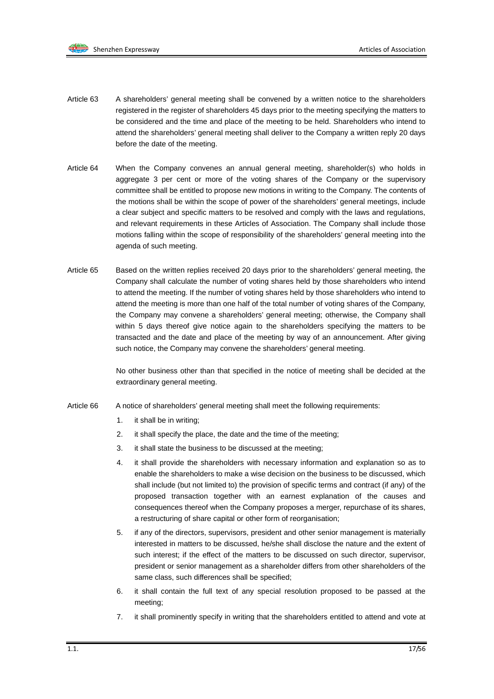

- Article 63 A shareholders' general meeting shall be convened by a written notice to the shareholders registered in the register of shareholders 45 days prior to the meeting specifying the matters to be considered and the time and place of the meeting to be held. Shareholders who intend to attend the shareholders' general meeting shall deliver to the Company a written reply 20 days before the date of the meeting.
- Article 64 When the Company convenes an annual general meeting, shareholder(s) who holds in aggregate 3 per cent or more of the voting shares of the Company or the supervisory committee shall be entitled to propose new motions in writing to the Company. The contents of the motions shall be within the scope of power of the shareholders' general meetings, include a clear subject and specific matters to be resolved and comply with the laws and regulations, and relevant requirements in these Articles of Association. The Company shall include those motions falling within the scope of responsibility of the shareholders' general meeting into the agenda of such meeting.
- Article 65 Based on the written replies received 20 days prior to the shareholders' general meeting, the Company shall calculate the number of voting shares held by those shareholders who intend to attend the meeting. If the number of voting shares held by those shareholders who intend to attend the meeting is more than one half of the total number of voting shares of the Company, the Company may convene a shareholders' general meeting; otherwise, the Company shall within 5 days thereof give notice again to the shareholders specifying the matters to be transacted and the date and place of the meeting by way of an announcement. After giving such notice, the Company may convene the shareholders' general meeting.

No other business other than that specified in the notice of meeting shall be decided at the extraordinary general meeting.

- Article 66 A notice of shareholders' general meeting shall meet the following requirements:
	- 1. it shall be in writing;
	- 2. it shall specify the place, the date and the time of the meeting;
	- 3. it shall state the business to be discussed at the meeting;
	- 4. it shall provide the shareholders with necessary information and explanation so as to enable the shareholders to make a wise decision on the business to be discussed, which shall include (but not limited to) the provision of specific terms and contract (if any) of the proposed transaction together with an earnest explanation of the causes and consequences thereof when the Company proposes a merger, repurchase of its shares, a restructuring of share capital or other form of reorganisation;
	- 5. if any of the directors, supervisors, president and other senior management is materially interested in matters to be discussed, he/she shall disclose the nature and the extent of such interest; if the effect of the matters to be discussed on such director, supervisor, president or senior management as a shareholder differs from other shareholders of the same class, such differences shall be specified;
	- 6. it shall contain the full text of any special resolution proposed to be passed at the meeting;
	- 7. it shall prominently specify in writing that the shareholders entitled to attend and vote at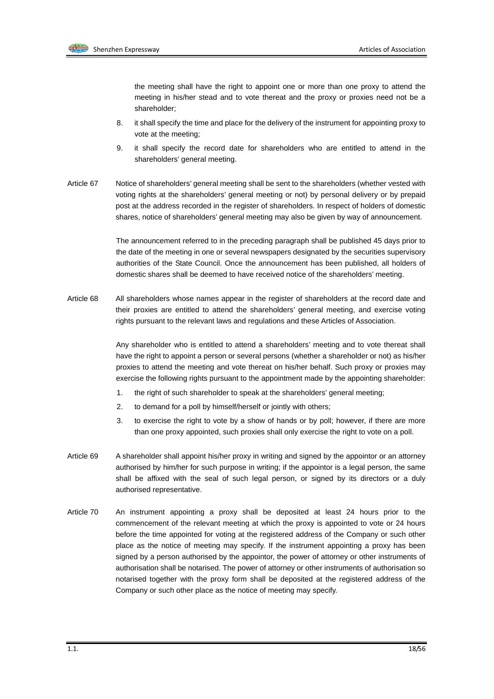

the meeting shall have the right to appoint one or more than one proxy to attend the meeting in his/her stead and to vote thereat and the proxy or proxies need not be a shareholder;

- 8. it shall specify the time and place for the delivery of the instrument for appointing proxy to vote at the meeting;
- 9. it shall specify the record date for shareholders who are entitled to attend in the shareholders' general meeting.
- Article 67 Notice of shareholders' general meeting shall be sent to the shareholders (whether vested with voting rights at the shareholders' general meeting or not) by personal delivery or by prepaid post at the address recorded in the register of shareholders. In respect of holders of domestic shares, notice of shareholders' general meeting may also be given by way of announcement.

The announcement referred to in the preceding paragraph shall be published 45 days prior to the date of the meeting in one or several newspapers designated by the securities supervisory authorities of the State Council. Once the announcement has been published, all holders of domestic shares shall be deemed to have received notice of the shareholders' meeting.

Article 68 All shareholders whose names appear in the register of shareholders at the record date and their proxies are entitled to attend the shareholders' general meeting, and exercise voting rights pursuant to the relevant laws and regulations and these Articles of Association.

> Any shareholder who is entitled to attend a shareholders' meeting and to vote thereat shall have the right to appoint a person or several persons (whether a shareholder or not) as his/her proxies to attend the meeting and vote thereat on his/her behalf. Such proxy or proxies may exercise the following rights pursuant to the appointment made by the appointing shareholder:

- 1. the right of such shareholder to speak at the shareholders' general meeting;
- 2. to demand for a poll by himself/herself or jointly with others;
- 3. to exercise the right to vote by a show of hands or by poll; however, if there are more than one proxy appointed, such proxies shall only exercise the right to vote on a poll.
- Article 69 A shareholder shall appoint his/her proxy in writing and signed by the appointor or an attorney authorised by him/her for such purpose in writing; if the appointor is a legal person, the same shall be affixed with the seal of such legal person, or signed by its directors or a duly authorised representative.
- Article 70 An instrument appointing a proxy shall be deposited at least 24 hours prior to the commencement of the relevant meeting at which the proxy is appointed to vote or 24 hours before the time appointed for voting at the registered address of the Company or such other place as the notice of meeting may specify. If the instrument appointing a proxy has been signed by a person authorised by the appointor, the power of attorney or other instruments of authorisation shall be notarised. The power of attorney or other instruments of authorisation so notarised together with the proxy form shall be deposited at the registered address of the Company or such other place as the notice of meeting may specify.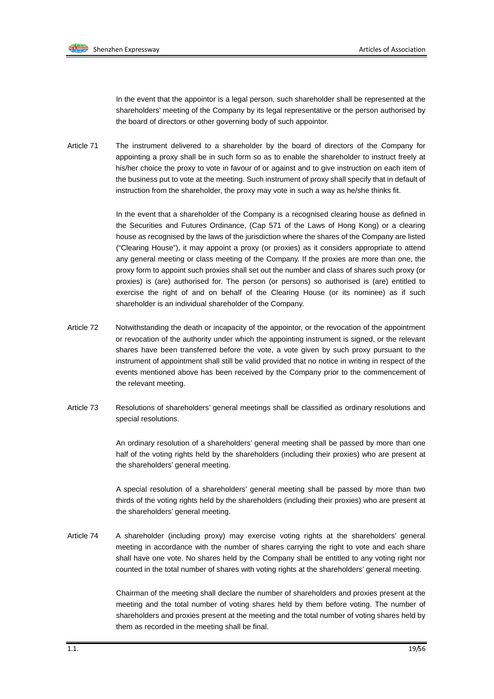

In the event that the appointor is a legal person, such shareholder shall be represented at the shareholders' meeting of the Company by its legal representative or the person authorised by the board of directors or other governing body of such appointor.

Article 71 The instrument delivered to a shareholder by the board of directors of the Company for appointing a proxy shall be in such form so as to enable the shareholder to instruct freely at his/her choice the proxy to vote in favour of or against and to give instruction on each item of the business put to vote at the meeting. Such instrument of proxy shall specify that in default of instruction from the shareholder, the proxy may vote in such a way as he/she thinks fit.

> In the event that a shareholder of the Company is a recognised clearing house as defined in the Securities and Futures Ordinance, (Cap 571 of the Laws of Hong Kong) or a clearing house as recognised by the laws of the jurisdiction where the shares of the Company are listed ("Clearing House"), it may appoint a proxy (or proxies) as it considers appropriate to attend any general meeting or class meeting of the Company. If the proxies are more than one, the proxy form to appoint such proxies shall set out the number and class of shares such proxy (or proxies) is (are) authorised for. The person (or persons) so authorised is (are) entitled to exercise the right of and on behalf of the Clearing House (or its nominee) as if such shareholder is an individual shareholder of the Company.

- Article 72 Notwithstanding the death or incapacity of the appointor, or the revocation of the appointment or revocation of the authority under which the appointing instrument is signed, or the relevant shares have been transferred before the vote, a vote given by such proxy pursuant to the instrument of appointment shall still be valid provided that no notice in writing in respect of the events mentioned above has been received by the Company prior to the commencement of the relevant meeting.
- Article 73 Resolutions of shareholders' general meetings shall be classified as ordinary resolutions and special resolutions.

An ordinary resolution of a shareholders' general meeting shall be passed by more than one half of the voting rights held by the shareholders (including their proxies) who are present at the shareholders' general meeting.

A special resolution of a shareholders' general meeting shall be passed by more than two thirds of the voting rights held by the shareholders (including their proxies) who are present at the shareholders' general meeting.

Article 74 A shareholder (including proxy) may exercise voting rights at the shareholders' general meeting in accordance with the number of shares carrying the right to vote and each share shall have one vote. No shares held by the Company shall be entitled to any voting right nor counted in the total number of shares with voting rights at the shareholders' general meeting.

> Chairman of the meeting shall declare the number of shareholders and proxies present at the meeting and the total number of voting shares held by them before voting. The number of shareholders and proxies present at the meeting and the total number of voting shares held by them as recorded in the meeting shall be final.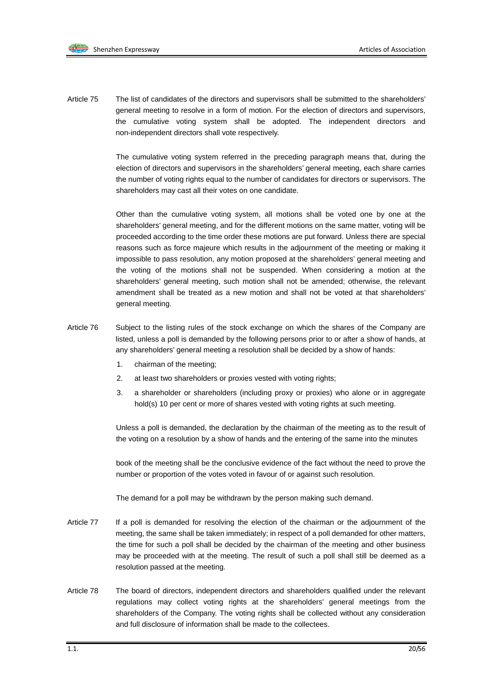Article 75 The list of candidates of the directors and supervisors shall be submitted to the shareholders' general meeting to resolve in a form of motion. For the election of directors and supervisors, the cumulative voting system shall be adopted. The independent directors and non-independent directors shall vote respectively.

> The cumulative voting system referred in the preceding paragraph means that, during the election of directors and supervisors in the shareholders' general meeting, each share carries the number of voting rights equal to the number of candidates for directors or supervisors. The shareholders may cast all their votes on one candidate.

> Other than the cumulative voting system, all motions shall be voted one by one at the shareholders' general meeting, and for the different motions on the same matter, voting will be proceeded according to the time order these motions are put forward. Unless there are special reasons such as force majeure which results in the adjournment of the meeting or making it impossible to pass resolution, any motion proposed at the shareholders' general meeting and the voting of the motions shall not be suspended. When considering a motion at the shareholders' general meeting, such motion shall not be amended; otherwise, the relevant amendment shall be treated as a new motion and shall not be voted at that shareholders' general meeting.

- Article 76 Subject to the listing rules of the stock exchange on which the shares of the Company are listed, unless a poll is demanded by the following persons prior to or after a show of hands, at any shareholders' general meeting a resolution shall be decided by a show of hands:
	- 1. chairman of the meeting;
	- 2. at least two shareholders or proxies vested with voting rights;
	- 3. a shareholder or shareholders (including proxy or proxies) who alone or in aggregate hold(s) 10 per cent or more of shares vested with voting rights at such meeting.

Unless a poll is demanded, the declaration by the chairman of the meeting as to the result of the voting on a resolution by a show of hands and the entering of the same into the minutes

book of the meeting shall be the conclusive evidence of the fact without the need to prove the number or proportion of the votes voted in favour of or against such resolution.

The demand for a poll may be withdrawn by the person making such demand.

- Article 77 If a poll is demanded for resolving the election of the chairman or the adjournment of the meeting, the same shall be taken immediately; in respect of a poll demanded for other matters, the time for such a poll shall be decided by the chairman of the meeting and other business may be proceeded with at the meeting. The result of such a poll shall still be deemed as a resolution passed at the meeting.
- Article 78 The board of directors, independent directors and shareholders qualified under the relevant regulations may collect voting rights at the shareholders' general meetings from the shareholders of the Company. The voting rights shall be collected without any consideration and full disclosure of information shall be made to the collectees.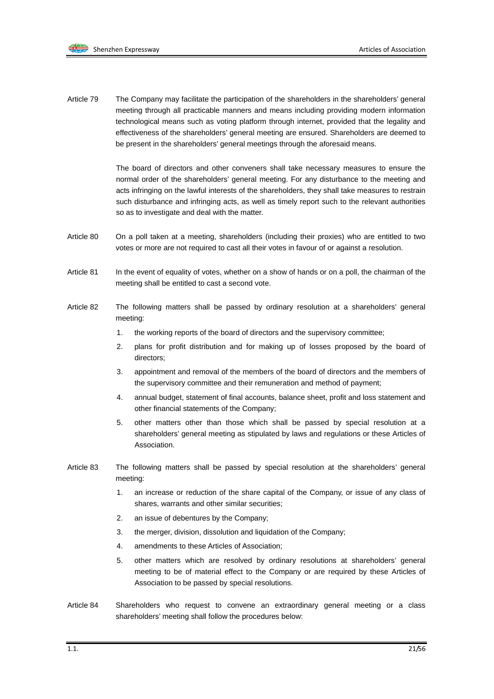Article 79 The Company may facilitate the participation of the shareholders in the shareholders' general meeting through all practicable manners and means including providing modern information technological means such as voting platform through internet, provided that the legality and effectiveness of the shareholders' general meeting are ensured. Shareholders are deemed to be present in the shareholders' general meetings through the aforesaid means.

> The board of directors and other conveners shall take necessary measures to ensure the normal order of the shareholders' general meeting. For any disturbance to the meeting and acts infringing on the lawful interests of the shareholders, they shall take measures to restrain such disturbance and infringing acts, as well as timely report such to the relevant authorities so as to investigate and deal with the matter.

- Article 80 On a poll taken at a meeting, shareholders (including their proxies) who are entitled to two votes or more are not required to cast all their votes in favour of or against a resolution.
- Article 81 In the event of equality of votes, whether on a show of hands or on a poll, the chairman of the meeting shall be entitled to cast a second vote.
- Article 82 The following matters shall be passed by ordinary resolution at a shareholders' general meeting:
	- 1. the working reports of the board of directors and the supervisory committee;
	- 2. plans for profit distribution and for making up of losses proposed by the board of directors;
	- 3. appointment and removal of the members of the board of directors and the members of the supervisory committee and their remuneration and method of payment;
	- 4. annual budget, statement of final accounts, balance sheet, profit and loss statement and other financial statements of the Company;
	- 5. other matters other than those which shall be passed by special resolution at a shareholders' general meeting as stipulated by laws and regulations or these Articles of Association.
- Article 83 The following matters shall be passed by special resolution at the shareholders' general meeting:
	- 1. an increase or reduction of the share capital of the Company, or issue of any class of shares, warrants and other similar securities;
	- 2. an issue of debentures by the Company;
	- 3. the merger, division, dissolution and liquidation of the Company;
	- 4. amendments to these Articles of Association;
	- 5. other matters which are resolved by ordinary resolutions at shareholders' general meeting to be of material effect to the Company or are required by these Articles of Association to be passed by special resolutions.
- Article 84 Shareholders who request to convene an extraordinary general meeting or a class shareholders' meeting shall follow the procedures below: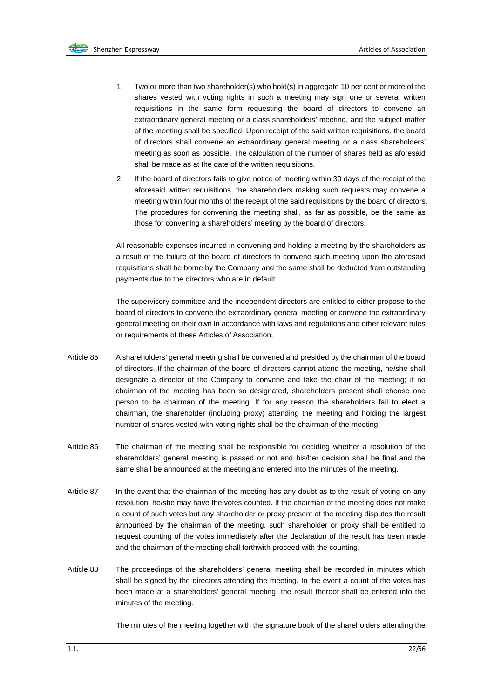

- 1. Two or more than two shareholder(s) who hold(s) in aggregate 10 per cent or more of the shares vested with voting rights in such a meeting may sign one or several written requisitions in the same form requesting the board of directors to convene an extraordinary general meeting or a class shareholders' meeting, and the subject matter of the meeting shall be specified. Upon receipt of the said written requisitions, the board of directors shall convene an extraordinary general meeting or a class shareholders' meeting as soon as possible. The calculation of the number of shares held as aforesaid shall be made as at the date of the written requisitions.
- 2. If the board of directors fails to give notice of meeting within 30 days of the receipt of the aforesaid written requisitions, the shareholders making such requests may convene a meeting within four months of the receipt of the said requisitions by the board of directors. The procedures for convening the meeting shall, as far as possible, be the same as those for convening a shareholders' meeting by the board of directors.

All reasonable expenses incurred in convening and holding a meeting by the shareholders as a result of the failure of the board of directors to convene such meeting upon the aforesaid requisitions shall be borne by the Company and the same shall be deducted from outstanding payments due to the directors who are in default.

The supervisory committee and the independent directors are entitled to either propose to the board of directors to convene the extraordinary general meeting or convene the extraordinary general meeting on their own in accordance with laws and regulations and other relevant rules or requirements of these Articles of Association.

- Article 85 A shareholders' general meeting shall be convened and presided by the chairman of the board of directors. If the chairman of the board of directors cannot attend the meeting, he/she shall designate a director of the Company to convene and take the chair of the meeting; if no chairman of the meeting has been so designated, shareholders present shall choose one person to be chairman of the meeting. If for any reason the shareholders fail to elect a chairman, the shareholder (including proxy) attending the meeting and holding the largest number of shares vested with voting rights shall be the chairman of the meeting.
- Article 86 The chairman of the meeting shall be responsible for deciding whether a resolution of the shareholders' general meeting is passed or not and his/her decision shall be final and the same shall be announced at the meeting and entered into the minutes of the meeting.
- Article 87 In the event that the chairman of the meeting has any doubt as to the result of voting on any resolution, he/she may have the votes counted. If the chairman of the meeting does not make a count of such votes but any shareholder or proxy present at the meeting disputes the result announced by the chairman of the meeting, such shareholder or proxy shall be entitled to request counting of the votes immediately after the declaration of the result has been made and the chairman of the meeting shall forthwith proceed with the counting.
- Article 88 The proceedings of the shareholders' general meeting shall be recorded in minutes which shall be signed by the directors attending the meeting. In the event a count of the votes has been made at a shareholders' general meeting, the result thereof shall be entered into the minutes of the meeting.

The minutes of the meeting together with the signature book of the shareholders attending the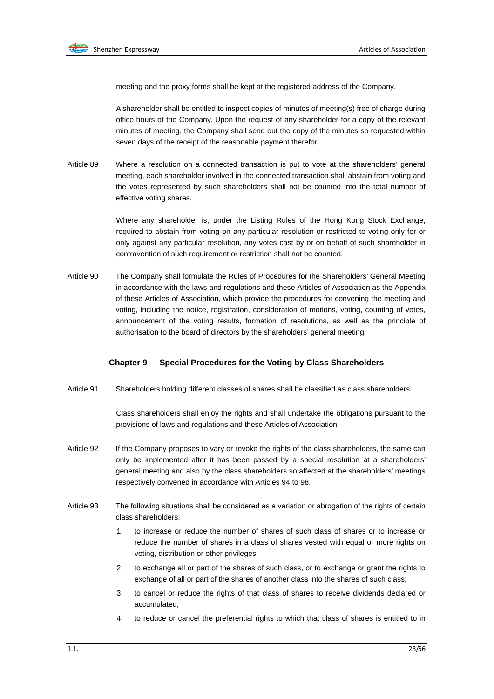

meeting and the proxy forms shall be kept at the registered address of the Company.

A shareholder shall be entitled to inspect copies of minutes of meeting(s) free of charge during office hours of the Company. Upon the request of any shareholder for a copy of the relevant minutes of meeting, the Company shall send out the copy of the minutes so requested within seven days of the receipt of the reasonable payment therefor.

Article 89 Where a resolution on a connected transaction is put to vote at the shareholders' general meeting, each shareholder involved in the connected transaction shall abstain from voting and the votes represented by such shareholders shall not be counted into the total number of effective voting shares.

> Where any shareholder is, under the Listing Rules of the Hong Kong Stock Exchange, required to abstain from voting on any particular resolution or restricted to voting only for or only against any particular resolution, any votes cast by or on behalf of such shareholder in contravention of such requirement or restriction shall not be counted.

Article 90 The Company shall formulate the Rules of Procedures for the Shareholders' General Meeting in accordance with the laws and regulations and these Articles of Association as the Appendix of these Articles of Association, which provide the procedures for convening the meeting and voting, including the notice, registration, consideration of motions, voting, counting of votes, announcement of the voting results, formation of resolutions, as well as the principle of authorisation to the board of directors by the shareholders' general meeting.

#### **Chapter 9 Special Procedures for the Voting by Class Shareholders**

Article 91 Shareholders holding different classes of shares shall be classified as class shareholders.

Class shareholders shall enjoy the rights and shall undertake the obligations pursuant to the provisions of laws and regulations and these Articles of Association.

- Article 92 If the Company proposes to vary or revoke the rights of the class shareholders, the same can only be implemented after it has been passed by a special resolution at a shareholders' general meeting and also by the class shareholders so affected at the shareholders' meetings respectively convened in accordance with Articles 94 to 98.
- Article 93 The following situations shall be considered as a variation or abrogation of the rights of certain class shareholders:
	- to increase or reduce the number of shares of such class of shares or to increase or reduce the number of shares in a class of shares vested with equal or more rights on voting, distribution or other privileges;
	- 2. to exchange all or part of the shares of such class, or to exchange or grant the rights to exchange of all or part of the shares of another class into the shares of such class;
	- 3. to cancel or reduce the rights of that class of shares to receive dividends declared or accumulated;
	- 4. to reduce or cancel the preferential rights to which that class of shares is entitled to in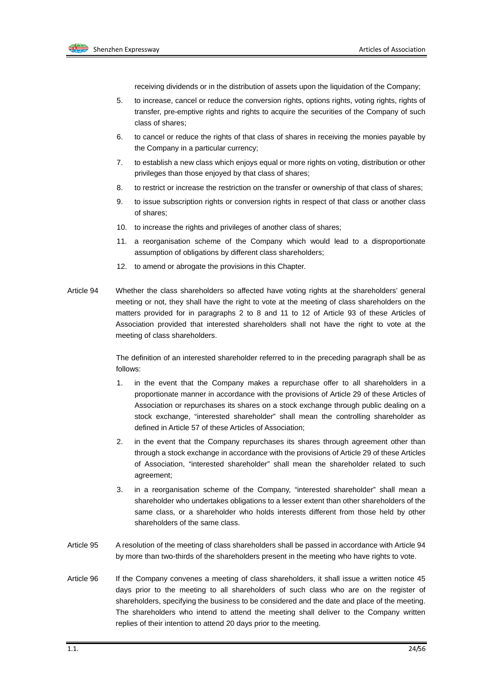

receiving dividends or in the distribution of assets upon the liquidation of the Company;

- 5. to increase, cancel or reduce the conversion rights, options rights, voting rights, rights of transfer, pre-emptive rights and rights to acquire the securities of the Company of such class of shares;
- 6. to cancel or reduce the rights of that class of shares in receiving the monies payable by the Company in a particular currency;
- 7. to establish a new class which enjoys equal or more rights on voting, distribution or other privileges than those enjoyed by that class of shares;
- 8. to restrict or increase the restriction on the transfer or ownership of that class of shares;
- 9. to issue subscription rights or conversion rights in respect of that class or another class of shares;
- 10. to increase the rights and privileges of another class of shares;
- 11. a reorganisation scheme of the Company which would lead to a disproportionate assumption of obligations by different class shareholders;
- 12. to amend or abrogate the provisions in this Chapter.
- Article 94 Whether the class shareholders so affected have voting rights at the shareholders' general meeting or not, they shall have the right to vote at the meeting of class shareholders on the matters provided for in paragraphs 2 to 8 and 11 to 12 of Article 93 of these Articles of Association provided that interested shareholders shall not have the right to vote at the meeting of class shareholders.

The definition of an interested shareholder referred to in the preceding paragraph shall be as follows:

- 1. in the event that the Company makes a repurchase offer to all shareholders in a proportionate manner in accordance with the provisions of Article 29 of these Articles of Association or repurchases its shares on a stock exchange through public dealing on a stock exchange, "interested shareholder" shall mean the controlling shareholder as defined in Article 57 of these Articles of Association;
- 2. in the event that the Company repurchases its shares through agreement other than through a stock exchange in accordance with the provisions of Article 29 of these Articles of Association, "interested shareholder" shall mean the shareholder related to such agreement;
- 3. in a reorganisation scheme of the Company, "interested shareholder" shall mean a shareholder who undertakes obligations to a lesser extent than other shareholders of the same class, or a shareholder who holds interests different from those held by other shareholders of the same class.
- Article 95 A resolution of the meeting of class shareholders shall be passed in accordance with Article 94 by more than two-thirds of the shareholders present in the meeting who have rights to vote.
- Article 96 If the Company convenes a meeting of class shareholders, it shall issue a written notice 45 days prior to the meeting to all shareholders of such class who are on the register of shareholders, specifying the business to be considered and the date and place of the meeting. The shareholders who intend to attend the meeting shall deliver to the Company written replies of their intention to attend 20 days prior to the meeting.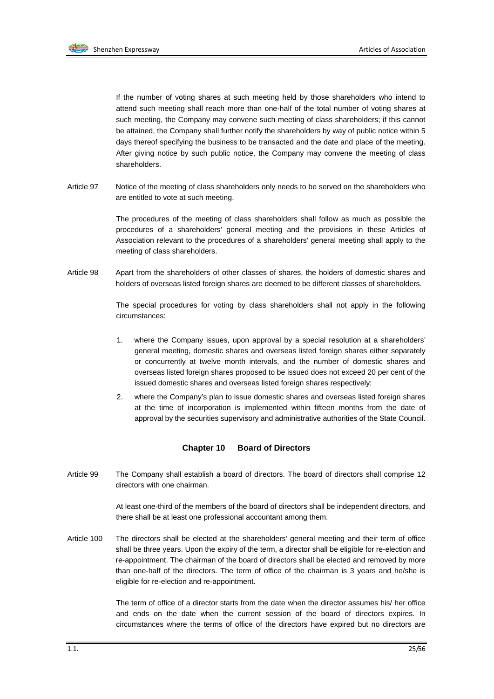

If the number of voting shares at such meeting held by those shareholders who intend to attend such meeting shall reach more than one-half of the total number of voting shares at such meeting, the Company may convene such meeting of class shareholders; if this cannot be attained, the Company shall further notify the shareholders by way of public notice within 5 days thereof specifying the business to be transacted and the date and place of the meeting. After giving notice by such public notice, the Company may convene the meeting of class shareholders.

Article 97 Notice of the meeting of class shareholders only needs to be served on the shareholders who are entitled to vote at such meeting.

> The procedures of the meeting of class shareholders shall follow as much as possible the procedures of a shareholders' general meeting and the provisions in these Articles of Association relevant to the procedures of a shareholders' general meeting shall apply to the meeting of class shareholders.

Article 98 Apart from the shareholders of other classes of shares, the holders of domestic shares and holders of overseas listed foreign shares are deemed to be different classes of shareholders.

> The special procedures for voting by class shareholders shall not apply in the following circumstances:

- 1. where the Company issues, upon approval by a special resolution at a shareholders' general meeting, domestic shares and overseas listed foreign shares either separately or concurrently at twelve month intervals, and the number of domestic shares and overseas listed foreign shares proposed to be issued does not exceed 20 per cent of the issued domestic shares and overseas listed foreign shares respectively;
- 2. where the Company's plan to issue domestic shares and overseas listed foreign shares at the time of incorporation is implemented within fifteen months from the date of approval by the securities supervisory and administrative authorities of the State Council.

#### **Chapter 10 Board of Directors**

Article 99 The Company shall establish a board of directors. The board of directors shall comprise 12 directors with one chairman.

> At least one-third of the members of the board of directors shall be independent directors, and there shall be at least one professional accountant among them.

Article 100 The directors shall be elected at the shareholders' general meeting and their term of office shall be three years. Upon the expiry of the term, a director shall be eligible for re-election and re-appointment. The chairman of the board of directors shall be elected and removed by more than one-half of the directors. The term of office of the chairman is 3 years and he/she is eligible for re-election and re-appointment.

> The term of office of a director starts from the date when the director assumes his/ her office and ends on the date when the current session of the board of directors expires. In circumstances where the terms of office of the directors have expired but no directors are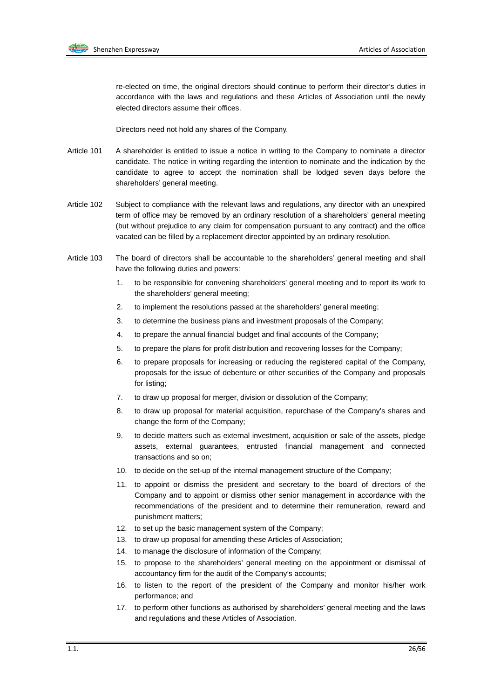

re-elected on time, the original directors should continue to perform their director's duties in accordance with the laws and regulations and these Articles of Association until the newly elected directors assume their offices.

Directors need not hold any shares of the Company.

- Article 101 A shareholder is entitled to issue a notice in writing to the Company to nominate a director candidate. The notice in writing regarding the intention to nominate and the indication by the candidate to agree to accept the nomination shall be lodged seven days before the shareholders' general meeting.
- Article 102 Subject to compliance with the relevant laws and regulations, any director with an unexpired term of office may be removed by an ordinary resolution of a shareholders' general meeting (but without prejudice to any claim for compensation pursuant to any contract) and the office vacated can be filled by a replacement director appointed by an ordinary resolution.
- Article 103 The board of directors shall be accountable to the shareholders' general meeting and shall have the following duties and powers:
	- 1. to be responsible for convening shareholders' general meeting and to report its work to the shareholders' general meeting;
	- 2. to implement the resolutions passed at the shareholders' general meeting;
	- 3. to determine the business plans and investment proposals of the Company;
	- 4. to prepare the annual financial budget and final accounts of the Company;
	- 5. to prepare the plans for profit distribution and recovering losses for the Company;
	- 6. to prepare proposals for increasing or reducing the registered capital of the Company, proposals for the issue of debenture or other securities of the Company and proposals for listing;
	- 7. to draw up proposal for merger, division or dissolution of the Company;
	- 8. to draw up proposal for material acquisition, repurchase of the Company's shares and change the form of the Company;
	- 9. to decide matters such as external investment, acquisition or sale of the assets, pledge assets, external guarantees, entrusted financial management and connected transactions and so on;
	- 10. to decide on the set-up of the internal management structure of the Company;
	- 11. to appoint or dismiss the president and secretary to the board of directors of the Company and to appoint or dismiss other senior management in accordance with the recommendations of the president and to determine their remuneration, reward and punishment matters;
	- 12. to set up the basic management system of the Company;
	- 13. to draw up proposal for amending these Articles of Association;
	- 14. to manage the disclosure of information of the Company;
	- 15. to propose to the shareholders' general meeting on the appointment or dismissal of accountancy firm for the audit of the Company's accounts;
	- 16. to listen to the report of the president of the Company and monitor his/her work performance; and
	- 17. to perform other functions as authorised by shareholders' general meeting and the laws and regulations and these Articles of Association.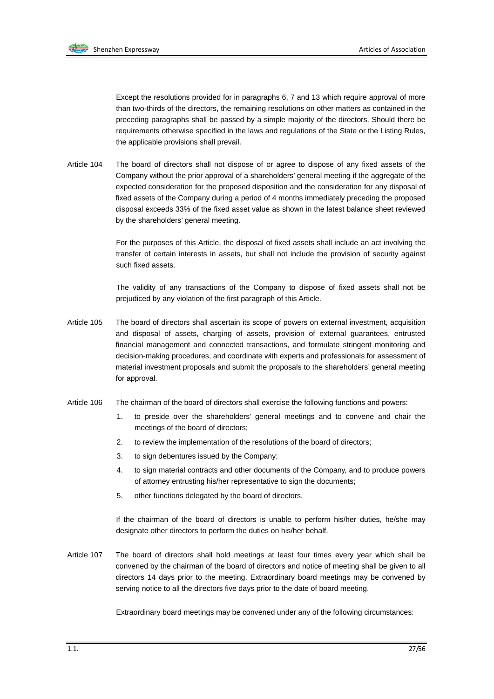

Except the resolutions provided for in paragraphs 6, 7 and 13 which require approval of more than two-thirds of the directors, the remaining resolutions on other matters as contained in the preceding paragraphs shall be passed by a simple majority of the directors. Should there be requirements otherwise specified in the laws and regulations of the State or the Listing Rules, the applicable provisions shall prevail.

Article 104 The board of directors shall not dispose of or agree to dispose of any fixed assets of the Company without the prior approval of a shareholders' general meeting if the aggregate of the expected consideration for the proposed disposition and the consideration for any disposal of fixed assets of the Company during a period of 4 months immediately preceding the proposed disposal exceeds 33% of the fixed asset value as shown in the latest balance sheet reviewed by the shareholders' general meeting.

> For the purposes of this Article, the disposal of fixed assets shall include an act involving the transfer of certain interests in assets, but shall not include the provision of security against such fixed assets.

> The validity of any transactions of the Company to dispose of fixed assets shall not be prejudiced by any violation of the first paragraph of this Article.

- Article 105 The board of directors shall ascertain its scope of powers on external investment, acquisition and disposal of assets, charging of assets, provision of external guarantees, entrusted financial management and connected transactions, and formulate stringent monitoring and decision-making procedures, and coordinate with experts and professionals for assessment of material investment proposals and submit the proposals to the shareholders' general meeting for approval.
- Article 106 The chairman of the board of directors shall exercise the following functions and powers:
	- 1. to preside over the shareholders' general meetings and to convene and chair the meetings of the board of directors;
	- 2. to review the implementation of the resolutions of the board of directors;
	- 3. to sign debentures issued by the Company;
	- 4. to sign material contracts and other documents of the Company, and to produce powers of attorney entrusting his/her representative to sign the documents;
	- 5. other functions delegated by the board of directors.

If the chairman of the board of directors is unable to perform his/her duties, he/she may designate other directors to perform the duties on his/her behalf.

Article 107 The board of directors shall hold meetings at least four times every year which shall be convened by the chairman of the board of directors and notice of meeting shall be given to all directors 14 days prior to the meeting. Extraordinary board meetings may be convened by serving notice to all the directors five days prior to the date of board meeting.

Extraordinary board meetings may be convened under any of the following circumstances: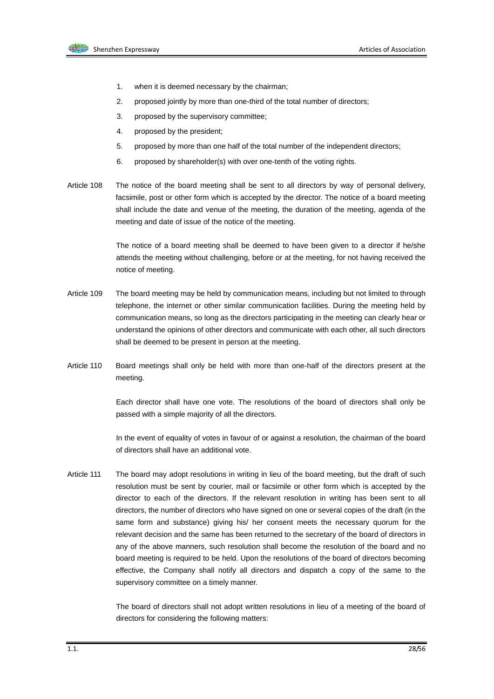

- 1. when it is deemed necessary by the chairman;
- 2. proposed jointly by more than one-third of the total number of directors;
- 3. proposed by the supervisory committee;
- 4. proposed by the president;
- 5. proposed by more than one half of the total number of the independent directors;
- 6. proposed by shareholder(s) with over one-tenth of the voting rights.
- Article 108 The notice of the board meeting shall be sent to all directors by way of personal delivery, facsimile, post or other form which is accepted by the director. The notice of a board meeting shall include the date and venue of the meeting, the duration of the meeting, agenda of the meeting and date of issue of the notice of the meeting.

The notice of a board meeting shall be deemed to have been given to a director if he/she attends the meeting without challenging, before or at the meeting, for not having received the notice of meeting.

- Article 109 The board meeting may be held by communication means, including but not limited to through telephone, the internet or other similar communication facilities. During the meeting held by communication means, so long as the directors participating in the meeting can clearly hear or understand the opinions of other directors and communicate with each other, all such directors shall be deemed to be present in person at the meeting.
- Article 110 Board meetings shall only be held with more than one-half of the directors present at the meeting.

Each director shall have one vote. The resolutions of the board of directors shall only be passed with a simple majority of all the directors.

In the event of equality of votes in favour of or against a resolution, the chairman of the board of directors shall have an additional vote.

Article 111 The board may adopt resolutions in writing in lieu of the board meeting, but the draft of such resolution must be sent by courier, mail or facsimile or other form which is accepted by the director to each of the directors. If the relevant resolution in writing has been sent to all directors, the number of directors who have signed on one or several copies of the draft (in the same form and substance) giving his/ her consent meets the necessary quorum for the relevant decision and the same has been returned to the secretary of the board of directors in any of the above manners, such resolution shall become the resolution of the board and no board meeting is required to be held. Upon the resolutions of the board of directors becoming effective, the Company shall notify all directors and dispatch a copy of the same to the supervisory committee on a timely manner.

> The board of directors shall not adopt written resolutions in lieu of a meeting of the board of directors for considering the following matters: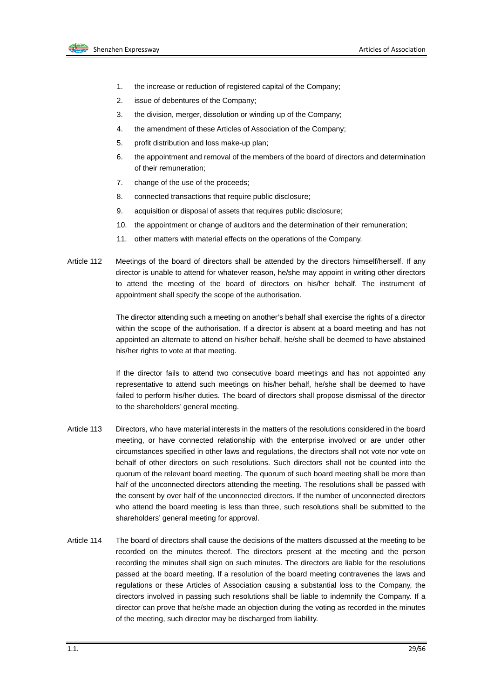

- 1. the increase or reduction of registered capital of the Company;
- 2. issue of debentures of the Company;
- 3. the division, merger, dissolution or winding up of the Company;
- 4. the amendment of these Articles of Association of the Company;
- 5. profit distribution and loss make-up plan;
- 6. the appointment and removal of the members of the board of directors and determination of their remuneration;
- 7. change of the use of the proceeds;
- 8. connected transactions that require public disclosure;
- 9. acquisition or disposal of assets that requires public disclosure;
- 10. the appointment or change of auditors and the determination of their remuneration;
- 11. other matters with material effects on the operations of the Company.
- Article 112 Meetings of the board of directors shall be attended by the directors himself/herself. If any director is unable to attend for whatever reason, he/she may appoint in writing other directors to attend the meeting of the board of directors on his/her behalf. The instrument of appointment shall specify the scope of the authorisation.

The director attending such a meeting on another's behalf shall exercise the rights of a director within the scope of the authorisation. If a director is absent at a board meeting and has not appointed an alternate to attend on his/her behalf, he/she shall be deemed to have abstained his/her rights to vote at that meeting.

If the director fails to attend two consecutive board meetings and has not appointed any representative to attend such meetings on his/her behalf, he/she shall be deemed to have failed to perform his/her duties. The board of directors shall propose dismissal of the director to the shareholders' general meeting.

- Article 113 Directors, who have material interests in the matters of the resolutions considered in the board meeting, or have connected relationship with the enterprise involved or are under other circumstances specified in other laws and regulations, the directors shall not vote nor vote on behalf of other directors on such resolutions. Such directors shall not be counted into the quorum of the relevant board meeting. The quorum of such board meeting shall be more than half of the unconnected directors attending the meeting. The resolutions shall be passed with the consent by over half of the unconnected directors. If the number of unconnected directors who attend the board meeting is less than three, such resolutions shall be submitted to the shareholders' general meeting for approval.
- Article 114 The board of directors shall cause the decisions of the matters discussed at the meeting to be recorded on the minutes thereof. The directors present at the meeting and the person recording the minutes shall sign on such minutes. The directors are liable for the resolutions passed at the board meeting. If a resolution of the board meeting contravenes the laws and regulations or these Articles of Association causing a substantial loss to the Company, the directors involved in passing such resolutions shall be liable to indemnify the Company. If a director can prove that he/she made an objection during the voting as recorded in the minutes of the meeting, such director may be discharged from liability.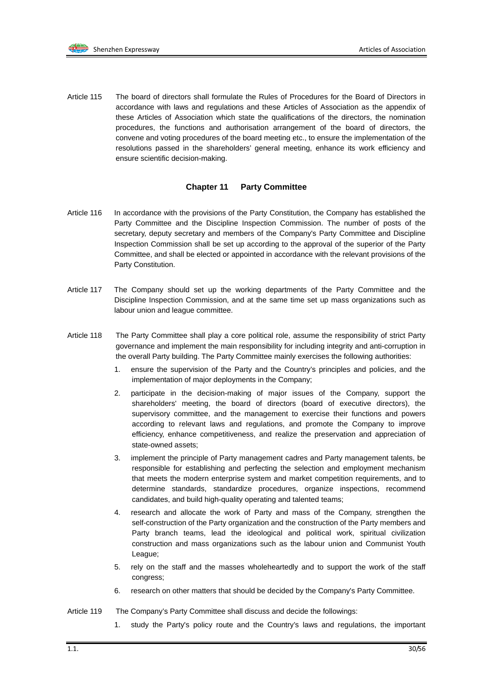Article 115 The board of directors shall formulate the Rules of Procedures for the Board of Directors in accordance with laws and regulations and these Articles of Association as the appendix of these Articles of Association which state the qualifications of the directors, the nomination procedures, the functions and authorisation arrangement of the board of directors, the convene and voting procedures of the board meeting etc., to ensure the implementation of the resolutions passed in the shareholders' general meeting, enhance its work efficiency and ensure scientific decision-making.

#### **Chapter 11 Party Committee**

- Article 116 In accordance with the provisions of the Party Constitution, the Company has established the Party Committee and the Discipline Inspection Commission. The number of posts of the secretary, deputy secretary and members of the Company's Party Committee and Discipline Inspection Commission shall be set up according to the approval of the superior of the Party Committee, and shall be elected or appointed in accordance with the relevant provisions of the Party Constitution.
- Article 117 The Company should set up the working departments of the Party Committee and the Discipline Inspection Commission, and at the same time set up mass organizations such as labour union and league committee.
- Article 118 The Party Committee shall play a core political role, assume the responsibility of strict Party governance and implement the main responsibility for including integrity and anti-corruption in the overall Party building. The Party Committee mainly exercises the following authorities:
	- 1. ensure the supervision of the Party and the Country's principles and policies, and the implementation of major deployments in the Company;
	- 2. participate in the decision-making of major issues of the Company, support the shareholders' meeting, the board of directors (board of executive directors), the supervisory committee, and the management to exercise their functions and powers according to relevant laws and regulations, and promote the Company to improve efficiency, enhance competitiveness, and realize the preservation and appreciation of state-owned assets;
	- 3. implement the principle of Party management cadres and Party management talents, be responsible for establishing and perfecting the selection and employment mechanism that meets the modern enterprise system and market competition requirements, and to determine standards, standardize procedures, organize inspections, recommend candidates, and build high-quality operating and talented teams;
	- 4. research and allocate the work of Party and mass of the Company, strengthen the self-construction of the Party organization and the construction of the Party members and Party branch teams, lead the ideological and political work, spiritual civilization construction and mass organizations such as the labour union and Communist Youth League;
	- 5. rely on the staff and the masses wholeheartedly and to support the work of the staff congress;
	- 6. research on other matters that should be decided by the Company's Party Committee.
- Article 119 The Company's Party Committee shall discuss and decide the followings:
	- 1. study the Party's policy route and the Country's laws and regulations, the important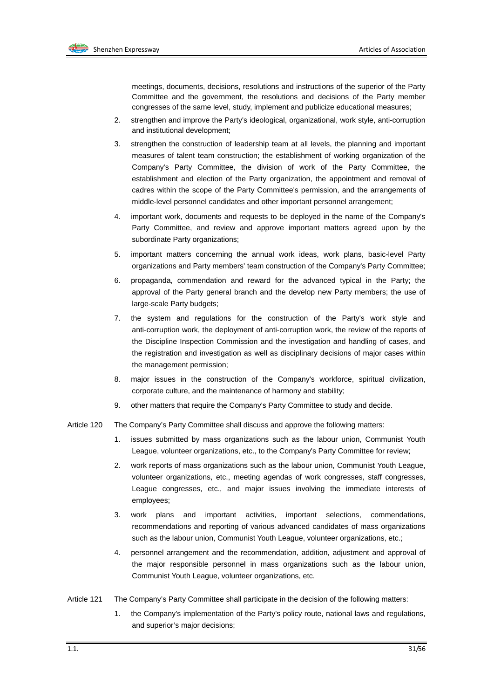meetings, documents, decisions, resolutions and instructions of the superior of the Party Committee and the government, the resolutions and decisions of the Party member congresses of the same level, study, implement and publicize educational measures;

- 2. strengthen and improve the Party's ideological, organizational, work style, anti-corruption and institutional development;
- 3. strengthen the construction of leadership team at all levels, the planning and important measures of talent team construction; the establishment of working organization of the Company's Party Committee, the division of work of the Party Committee, the establishment and election of the Party organization, the appointment and removal of cadres within the scope of the Party Committee's permission, and the arrangements of middle-level personnel candidates and other important personnel arrangement;
- 4. important work, documents and requests to be deployed in the name of the Company's Party Committee, and review and approve important matters agreed upon by the subordinate Party organizations;
- 5. important matters concerning the annual work ideas, work plans, basic-level Party organizations and Party members' team construction of the Company's Party Committee;
- 6. propaganda, commendation and reward for the advanced typical in the Party; the approval of the Party general branch and the develop new Party members; the use of large-scale Party budgets;
- 7. the system and regulations for the construction of the Party's work style and anti-corruption work, the deployment of anti-corruption work, the review of the reports of the Discipline Inspection Commission and the investigation and handling of cases, and the registration and investigation as well as disciplinary decisions of major cases within the management permission;
- 8. major issues in the construction of the Company's workforce, spiritual civilization, corporate culture, and the maintenance of harmony and stability;
- 9. other matters that require the Company's Party Committee to study and decide.
- Article 120 The Company's Party Committee shall discuss and approve the following matters:
	- 1. issues submitted by mass organizations such as the labour union, Communist Youth League, volunteer organizations, etc., to the Company's Party Committee for review;
	- 2. work reports of mass organizations such as the labour union, Communist Youth League, volunteer organizations, etc., meeting agendas of work congresses, staff congresses, League congresses, etc., and major issues involving the immediate interests of employees;
	- 3. work plans and important activities, important selections, commendations, recommendations and reporting of various advanced candidates of mass organizations such as the labour union, Communist Youth League, volunteer organizations, etc.;
	- 4. personnel arrangement and the recommendation, addition, adjustment and approval of the major responsible personnel in mass organizations such as the labour union, Communist Youth League, volunteer organizations, etc.
- Article 121 The Company's Party Committee shall participate in the decision of the following matters:
	- 1. the Company's implementation of the Party's policy route, national laws and regulations, and superior's major decisions;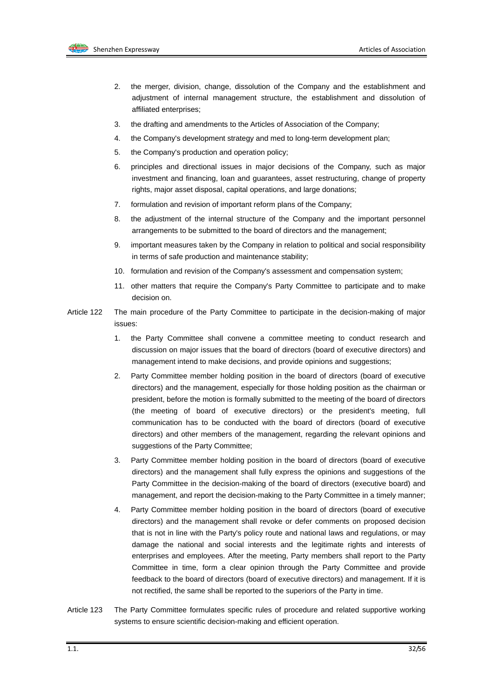

- 2. the merger, division, change, dissolution of the Company and the establishment and adjustment of internal management structure, the establishment and dissolution of affiliated enterprises;
- 3. the drafting and amendments to the Articles of Association of the Company;
- 4. the Company's development strategy and med to long-term development plan;
- 5. the Company's production and operation policy;
- 6. principles and directional issues in major decisions of the Company, such as major investment and financing, loan and guarantees, asset restructuring, change of property rights, major asset disposal, capital operations, and large donations;
- 7. formulation and revision of important reform plans of the Company;
- 8. the adjustment of the internal structure of the Company and the important personnel arrangements to be submitted to the board of directors and the management;
- 9. important measures taken by the Company in relation to political and social responsibility in terms of safe production and maintenance stability;
- 10. formulation and revision of the Company's assessment and compensation system;
- 11. other matters that require the Company's Party Committee to participate and to make decision on.
- Article 122 The main procedure of the Party Committee to participate in the decision-making of major issues:
	- 1. the Party Committee shall convene a committee meeting to conduct research and discussion on major issues that the board of directors (board of executive directors) and management intend to make decisions, and provide opinions and suggestions;
	- 2. Party Committee member holding position in the board of directors (board of executive directors) and the management, especially for those holding position as the chairman or president, before the motion is formally submitted to the meeting of the board of directors (the meeting of board of executive directors) or the president's meeting, full communication has to be conducted with the board of directors (board of executive directors) and other members of the management, regarding the relevant opinions and suggestions of the Party Committee;
	- 3. Party Committee member holding position in the board of directors (board of executive directors) and the management shall fully express the opinions and suggestions of the Party Committee in the decision-making of the board of directors (executive board) and management, and report the decision-making to the Party Committee in a timely manner;
	- 4. Party Committee member holding position in the board of directors (board of executive directors) and the management shall revoke or defer comments on proposed decision that is not in line with the Party's policy route and national laws and regulations, or may damage the national and social interests and the legitimate rights and interests of enterprises and employees. After the meeting, Party members shall report to the Party Committee in time, form a clear opinion through the Party Committee and provide feedback to the board of directors (board of executive directors) and management. If it is not rectified, the same shall be reported to the superiors of the Party in time.
- Article 123 The Party Committee formulates specific rules of procedure and related supportive working systems to ensure scientific decision-making and efficient operation.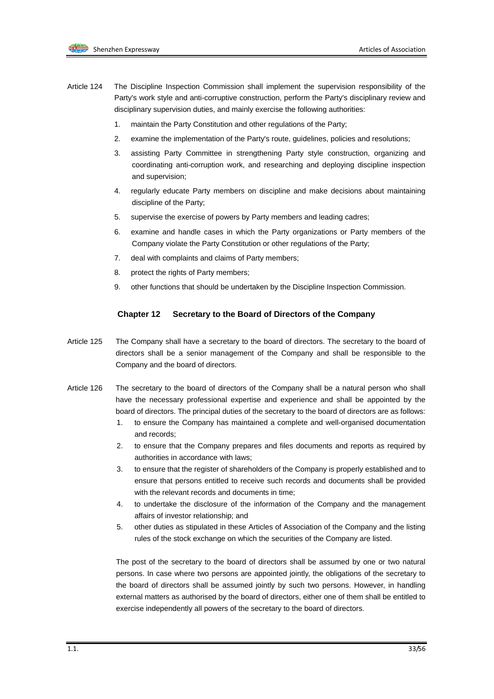

- Article 124 The Discipline Inspection Commission shall implement the supervision responsibility of the Party's work style and anti-corruptive construction, perform the Party's disciplinary review and disciplinary supervision duties, and mainly exercise the following authorities:
	- 1. maintain the Party Constitution and other regulations of the Party;
	- 2. examine the implementation of the Party's route, guidelines, policies and resolutions;
	- 3. assisting Party Committee in strengthening Party style construction, organizing and coordinating anti-corruption work, and researching and deploying discipline inspection and supervision;
	- 4. regularly educate Party members on discipline and make decisions about maintaining discipline of the Party;
	- 5. supervise the exercise of powers by Party members and leading cadres;
	- 6. examine and handle cases in which the Party organizations or Party members of the Company violate the Party Constitution or other regulations of the Party;
	- 7. deal with complaints and claims of Party members;
	- 8. protect the rights of Party members:
	- 9. other functions that should be undertaken by the Discipline Inspection Commission.

#### **Chapter 12 Secretary to the Board of Directors of the Company**

- Article 125 The Company shall have a secretary to the board of directors. The secretary to the board of directors shall be a senior management of the Company and shall be responsible to the Company and the board of directors.
- Article 126 The secretary to the board of directors of the Company shall be a natural person who shall have the necessary professional expertise and experience and shall be appointed by the board of directors. The principal duties of the secretary to the board of directors are as follows:
	- 1. to ensure the Company has maintained a complete and well-organised documentation and records;
	- 2. to ensure that the Company prepares and files documents and reports as required by authorities in accordance with laws;
	- 3. to ensure that the register of shareholders of the Company is properly established and to ensure that persons entitled to receive such records and documents shall be provided with the relevant records and documents in time;
	- 4. to undertake the disclosure of the information of the Company and the management affairs of investor relationship; and
	- 5. other duties as stipulated in these Articles of Association of the Company and the listing rules of the stock exchange on which the securities of the Company are listed.

The post of the secretary to the board of directors shall be assumed by one or two natural persons. In case where two persons are appointed jointly, the obligations of the secretary to the board of directors shall be assumed jointly by such two persons. However, in handling external matters as authorised by the board of directors, either one of them shall be entitled to exercise independently all powers of the secretary to the board of directors.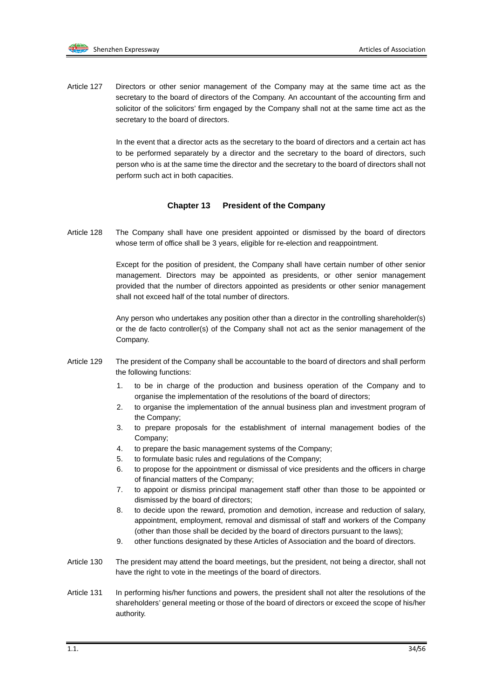Article 127 Directors or other senior management of the Company may at the same time act as the secretary to the board of directors of the Company. An accountant of the accounting firm and solicitor of the solicitors' firm engaged by the Company shall not at the same time act as the secretary to the board of directors.

> In the event that a director acts as the secretary to the board of directors and a certain act has to be performed separately by a director and the secretary to the board of directors, such person who is at the same time the director and the secretary to the board of directors shall not perform such act in both capacities.

#### **Chapter 13 President of the Company**

Article 128 The Company shall have one president appointed or dismissed by the board of directors whose term of office shall be 3 years, eligible for re-election and reappointment.

> Except for the position of president, the Company shall have certain number of other senior management. Directors may be appointed as presidents, or other senior management provided that the number of directors appointed as presidents or other senior management shall not exceed half of the total number of directors.

> Any person who undertakes any position other than a director in the controlling shareholder(s) or the de facto controller(s) of the Company shall not act as the senior management of the Company.

- Article 129 The president of the Company shall be accountable to the board of directors and shall perform the following functions:
	- 1. to be in charge of the production and business operation of the Company and to organise the implementation of the resolutions of the board of directors;
	- 2. to organise the implementation of the annual business plan and investment program of the Company;
	- 3. to prepare proposals for the establishment of internal management bodies of the Company;
	- 4. to prepare the basic management systems of the Company;
	- 5. to formulate basic rules and regulations of the Company;
	- 6. to propose for the appointment or dismissal of vice presidents and the officers in charge of financial matters of the Company;
	- 7. to appoint or dismiss principal management staff other than those to be appointed or dismissed by the board of directors;
	- 8. to decide upon the reward, promotion and demotion, increase and reduction of salary, appointment, employment, removal and dismissal of staff and workers of the Company (other than those shall be decided by the board of directors pursuant to the laws);
	- 9. other functions designated by these Articles of Association and the board of directors.
- Article 130 The president may attend the board meetings, but the president, not being a director, shall not have the right to vote in the meetings of the board of directors.
- Article 131 In performing his/her functions and powers, the president shall not alter the resolutions of the shareholders' general meeting or those of the board of directors or exceed the scope of his/her authority.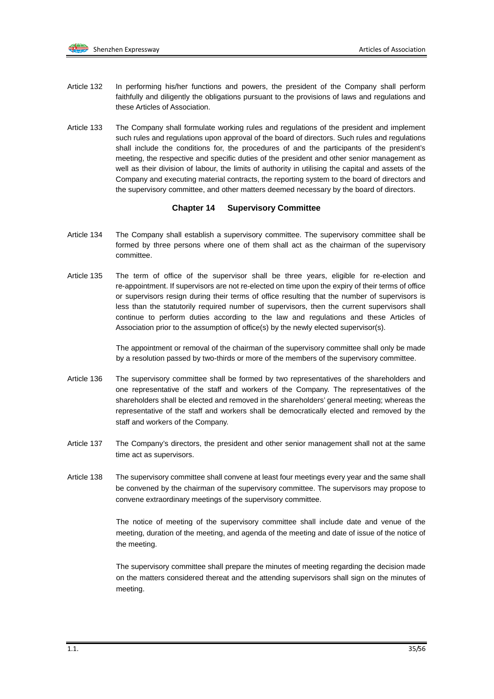- Article 132 In performing his/her functions and powers, the president of the Company shall perform faithfully and diligently the obligations pursuant to the provisions of laws and regulations and these Articles of Association.
- Article 133 The Company shall formulate working rules and regulations of the president and implement such rules and regulations upon approval of the board of directors. Such rules and regulations shall include the conditions for, the procedures of and the participants of the president's meeting, the respective and specific duties of the president and other senior management as well as their division of labour, the limits of authority in utilising the capital and assets of the Company and executing material contracts, the reporting system to the board of directors and the supervisory committee, and other matters deemed necessary by the board of directors.

#### **Chapter 14 Supervisory Committee**

- Article 134 The Company shall establish a supervisory committee. The supervisory committee shall be formed by three persons where one of them shall act as the chairman of the supervisory committee.
- Article 135 The term of office of the supervisor shall be three years, eligible for re-election and re-appointment. If supervisors are not re-elected on time upon the expiry of their terms of office or supervisors resign during their terms of office resulting that the number of supervisors is less than the statutorily required number of supervisors, then the current supervisors shall continue to perform duties according to the law and regulations and these Articles of Association prior to the assumption of office(s) by the newly elected supervisor(s).

The appointment or removal of the chairman of the supervisory committee shall only be made by a resolution passed by two-thirds or more of the members of the supervisory committee.

- Article 136 The supervisory committee shall be formed by two representatives of the shareholders and one representative of the staff and workers of the Company. The representatives of the shareholders shall be elected and removed in the shareholders' general meeting; whereas the representative of the staff and workers shall be democratically elected and removed by the staff and workers of the Company.
- Article 137 The Company's directors, the president and other senior management shall not at the same time act as supervisors.
- Article 138 The supervisory committee shall convene at least four meetings every year and the same shall be convened by the chairman of the supervisory committee. The supervisors may propose to convene extraordinary meetings of the supervisory committee.

The notice of meeting of the supervisory committee shall include date and venue of the meeting, duration of the meeting, and agenda of the meeting and date of issue of the notice of the meeting.

The supervisory committee shall prepare the minutes of meeting regarding the decision made on the matters considered thereat and the attending supervisors shall sign on the minutes of meeting.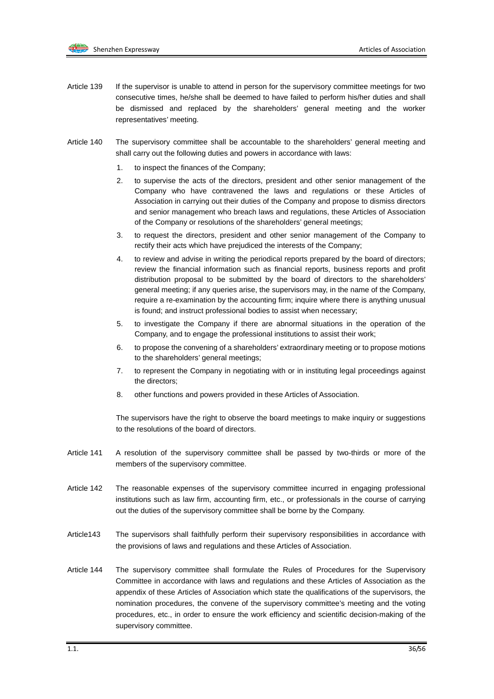- Article 139 If the supervisor is unable to attend in person for the supervisory committee meetings for two consecutive times, he/she shall be deemed to have failed to perform his/her duties and shall be dismissed and replaced by the shareholders' general meeting and the worker representatives' meeting.
- Article 140 The supervisory committee shall be accountable to the shareholders' general meeting and shall carry out the following duties and powers in accordance with laws:
	- 1. to inspect the finances of the Company;
	- 2. to supervise the acts of the directors, president and other senior management of the Company who have contravened the laws and regulations or these Articles of Association in carrying out their duties of the Company and propose to dismiss directors and senior management who breach laws and regulations, these Articles of Association of the Company or resolutions of the shareholders' general meetings;
	- 3. to request the directors, president and other senior management of the Company to rectify their acts which have prejudiced the interests of the Company;
	- 4. to review and advise in writing the periodical reports prepared by the board of directors; review the financial information such as financial reports, business reports and profit distribution proposal to be submitted by the board of directors to the shareholders' general meeting; if any queries arise, the supervisors may, in the name of the Company, require a re-examination by the accounting firm; inquire where there is anything unusual is found; and instruct professional bodies to assist when necessary;
	- 5. to investigate the Company if there are abnormal situations in the operation of the Company, and to engage the professional institutions to assist their work;
	- 6. to propose the convening of a shareholders' extraordinary meeting or to propose motions to the shareholders' general meetings;
	- 7. to represent the Company in negotiating with or in instituting legal proceedings against the directors;
	- 8. other functions and powers provided in these Articles of Association.

The supervisors have the right to observe the board meetings to make inquiry or suggestions to the resolutions of the board of directors.

- Article 141 A resolution of the supervisory committee shall be passed by two-thirds or more of the members of the supervisory committee.
- Article 142 The reasonable expenses of the supervisory committee incurred in engaging professional institutions such as law firm, accounting firm, etc., or professionals in the course of carrying out the duties of the supervisory committee shall be borne by the Company.
- Article143 The supervisors shall faithfully perform their supervisory responsibilities in accordance with the provisions of laws and regulations and these Articles of Association.
- Article 144 The supervisory committee shall formulate the Rules of Procedures for the Supervisory Committee in accordance with laws and regulations and these Articles of Association as the appendix of these Articles of Association which state the qualifications of the supervisors, the nomination procedures, the convene of the supervisory committee's meeting and the voting procedures, etc., in order to ensure the work efficiency and scientific decision-making of the supervisory committee.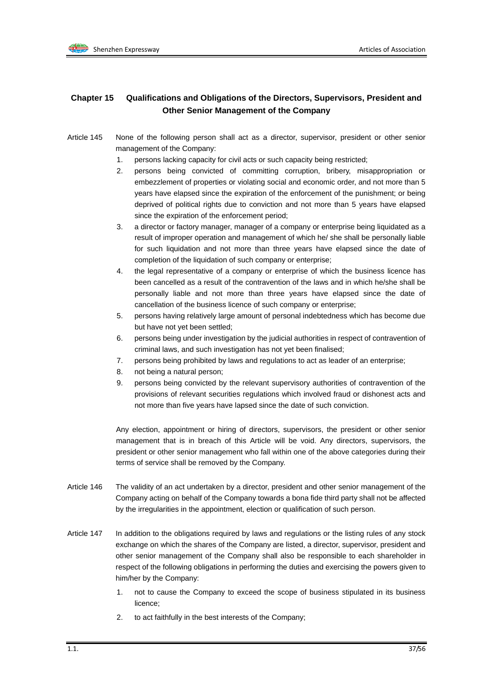

## **Chapter 15 Qualifications and Obligations of the Directors, Supervisors, President and Other Senior Management of the Company**

- Article 145 None of the following person shall act as a director, supervisor, president or other senior management of the Company:
	- 1. persons lacking capacity for civil acts or such capacity being restricted;
	- 2. persons being convicted of committing corruption, bribery, misappropriation or embezzlement of properties or violating social and economic order, and not more than 5 years have elapsed since the expiration of the enforcement of the punishment; or being deprived of political rights due to conviction and not more than 5 years have elapsed since the expiration of the enforcement period;
	- 3. a director or factory manager, manager of a company or enterprise being liquidated as a result of improper operation and management of which he/ she shall be personally liable for such liquidation and not more than three years have elapsed since the date of completion of the liquidation of such company or enterprise;
	- 4. the legal representative of a company or enterprise of which the business licence has been cancelled as a result of the contravention of the laws and in which he/she shall be personally liable and not more than three years have elapsed since the date of cancellation of the business licence of such company or enterprise;
	- 5. persons having relatively large amount of personal indebtedness which has become due but have not yet been settled;
	- 6. persons being under investigation by the judicial authorities in respect of contravention of criminal laws, and such investigation has not yet been finalised;
	- 7. persons being prohibited by laws and regulations to act as leader of an enterprise;
	- 8. not being a natural person;
	- 9. persons being convicted by the relevant supervisory authorities of contravention of the provisions of relevant securities regulations which involved fraud or dishonest acts and not more than five years have lapsed since the date of such conviction.

Any election, appointment or hiring of directors, supervisors, the president or other senior management that is in breach of this Article will be void. Any directors, supervisors, the president or other senior management who fall within one of the above categories during their terms of service shall be removed by the Company.

- Article 146 The validity of an act undertaken by a director, president and other senior management of the Company acting on behalf of the Company towards a bona fide third party shall not be affected by the irregularities in the appointment, election or qualification of such person.
- Article 147 In addition to the obligations required by laws and regulations or the listing rules of any stock exchange on which the shares of the Company are listed, a director, supervisor, president and other senior management of the Company shall also be responsible to each shareholder in respect of the following obligations in performing the duties and exercising the powers given to him/her by the Company:
	- 1. not to cause the Company to exceed the scope of business stipulated in its business licence;
	- 2. to act faithfully in the best interests of the Company;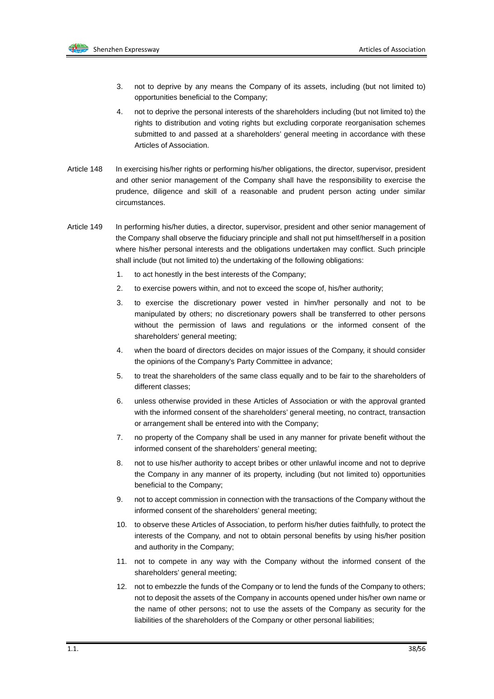

- 3. not to deprive by any means the Company of its assets, including (but not limited to) opportunities beneficial to the Company;
- 4. not to deprive the personal interests of the shareholders including (but not limited to) the rights to distribution and voting rights but excluding corporate reorganisation schemes submitted to and passed at a shareholders' general meeting in accordance with these Articles of Association.
- Article 148 In exercising his/her rights or performing his/her obligations, the director, supervisor, president and other senior management of the Company shall have the responsibility to exercise the prudence, diligence and skill of a reasonable and prudent person acting under similar circumstances.
- Article 149 In performing his/her duties, a director, supervisor, president and other senior management of the Company shall observe the fiduciary principle and shall not put himself/herself in a position where his/her personal interests and the obligations undertaken may conflict. Such principle shall include (but not limited to) the undertaking of the following obligations:
	- 1. to act honestly in the best interests of the Company;
	- 2. to exercise powers within, and not to exceed the scope of, his/her authority;
	- 3. to exercise the discretionary power vested in him/her personally and not to be manipulated by others; no discretionary powers shall be transferred to other persons without the permission of laws and regulations or the informed consent of the shareholders' general meeting;
	- 4. when the board of directors decides on major issues of the Company, it should consider the opinions of the Company's Party Committee in advance;
	- 5. to treat the shareholders of the same class equally and to be fair to the shareholders of different classes;
	- 6. unless otherwise provided in these Articles of Association or with the approval granted with the informed consent of the shareholders' general meeting, no contract, transaction or arrangement shall be entered into with the Company;
	- 7. no property of the Company shall be used in any manner for private benefit without the informed consent of the shareholders' general meeting;
	- 8. not to use his/her authority to accept bribes or other unlawful income and not to deprive the Company in any manner of its property, including (but not limited to) opportunities beneficial to the Company;
	- 9. not to accept commission in connection with the transactions of the Company without the informed consent of the shareholders' general meeting;
	- 10. to observe these Articles of Association, to perform his/her duties faithfully, to protect the interests of the Company, and not to obtain personal benefits by using his/her position and authority in the Company;
	- 11. not to compete in any way with the Company without the informed consent of the shareholders' general meeting;
	- 12. not to embezzle the funds of the Company or to lend the funds of the Company to others; not to deposit the assets of the Company in accounts opened under his/her own name or the name of other persons; not to use the assets of the Company as security for the liabilities of the shareholders of the Company or other personal liabilities;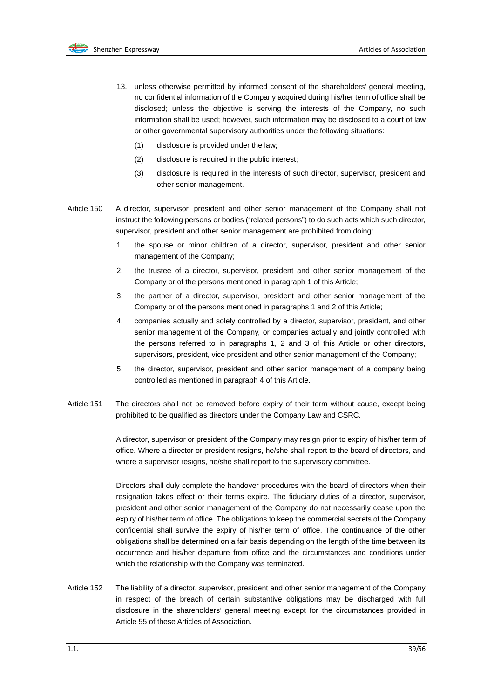

- 13. unless otherwise permitted by informed consent of the shareholders' general meeting, no confidential information of the Company acquired during his/her term of office shall be disclosed; unless the objective is serving the interests of the Company, no such information shall be used; however, such information may be disclosed to a court of law or other governmental supervisory authorities under the following situations:
	- (1) disclosure is provided under the law;
	- (2) disclosure is required in the public interest;
	- (3) disclosure is required in the interests of such director, supervisor, president and other senior management.
- Article 150 A director, supervisor, president and other senior management of the Company shall not instruct the following persons or bodies ("related persons") to do such acts which such director, supervisor, president and other senior management are prohibited from doing:
	- 1. the spouse or minor children of a director, supervisor, president and other senior management of the Company;
	- 2. the trustee of a director, supervisor, president and other senior management of the Company or of the persons mentioned in paragraph 1 of this Article;
	- 3. the partner of a director, supervisor, president and other senior management of the Company or of the persons mentioned in paragraphs 1 and 2 of this Article;
	- 4. companies actually and solely controlled by a director, supervisor, president, and other senior management of the Company, or companies actually and jointly controlled with the persons referred to in paragraphs 1, 2 and 3 of this Article or other directors, supervisors, president, vice president and other senior management of the Company;
	- 5. the director, supervisor, president and other senior management of a company being controlled as mentioned in paragraph 4 of this Article.
- Article 151 The directors shall not be removed before expiry of their term without cause, except being prohibited to be qualified as directors under the Company Law and CSRC.

A director, supervisor or president of the Company may resign prior to expiry of his/her term of office. Where a director or president resigns, he/she shall report to the board of directors, and where a supervisor resigns, he/she shall report to the supervisory committee.

Directors shall duly complete the handover procedures with the board of directors when their resignation takes effect or their terms expire. The fiduciary duties of a director, supervisor, president and other senior management of the Company do not necessarily cease upon the expiry of his/her term of office. The obligations to keep the commercial secrets of the Company confidential shall survive the expiry of his/her term of office. The continuance of the other obligations shall be determined on a fair basis depending on the length of the time between its occurrence and his/her departure from office and the circumstances and conditions under which the relationship with the Company was terminated.

Article 152 The liability of a director, supervisor, president and other senior management of the Company in respect of the breach of certain substantive obligations may be discharged with full disclosure in the shareholders' general meeting except for the circumstances provided in Article 55 of these Articles of Association.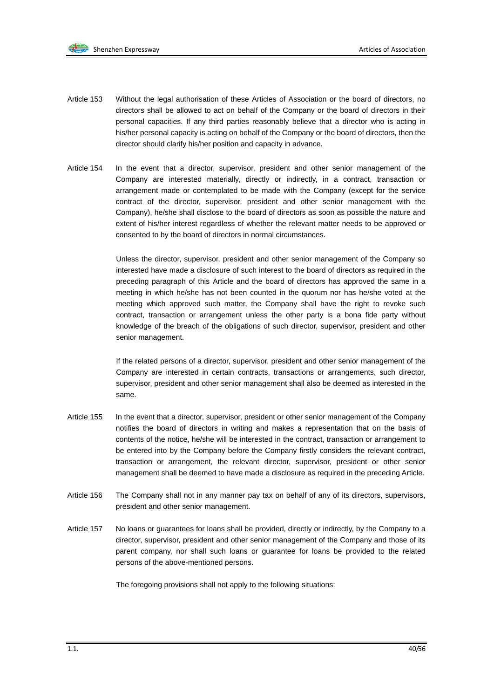

- Article 153 Without the legal authorisation of these Articles of Association or the board of directors, no directors shall be allowed to act on behalf of the Company or the board of directors in their personal capacities. If any third parties reasonably believe that a director who is acting in his/her personal capacity is acting on behalf of the Company or the board of directors, then the director should clarify his/her position and capacity in advance.
- Article 154 In the event that a director, supervisor, president and other senior management of the Company are interested materially, directly or indirectly, in a contract, transaction or arrangement made or contemplated to be made with the Company (except for the service contract of the director, supervisor, president and other senior management with the Company), he/she shall disclose to the board of directors as soon as possible the nature and extent of his/her interest regardless of whether the relevant matter needs to be approved or consented to by the board of directors in normal circumstances.

Unless the director, supervisor, president and other senior management of the Company so interested have made a disclosure of such interest to the board of directors as required in the preceding paragraph of this Article and the board of directors has approved the same in a meeting in which he/she has not been counted in the quorum nor has he/she voted at the meeting which approved such matter, the Company shall have the right to revoke such contract, transaction or arrangement unless the other party is a bona fide party without knowledge of the breach of the obligations of such director, supervisor, president and other senior management.

If the related persons of a director, supervisor, president and other senior management of the Company are interested in certain contracts, transactions or arrangements, such director, supervisor, president and other senior management shall also be deemed as interested in the same.

- Article 155 In the event that a director, supervisor, president or other senior management of the Company notifies the board of directors in writing and makes a representation that on the basis of contents of the notice, he/she will be interested in the contract, transaction or arrangement to be entered into by the Company before the Company firstly considers the relevant contract, transaction or arrangement, the relevant director, supervisor, president or other senior management shall be deemed to have made a disclosure as required in the preceding Article.
- Article 156 The Company shall not in any manner pay tax on behalf of any of its directors, supervisors, president and other senior management.
- Article 157 No loans or guarantees for loans shall be provided, directly or indirectly, by the Company to a director, supervisor, president and other senior management of the Company and those of its parent company, nor shall such loans or guarantee for loans be provided to the related persons of the above-mentioned persons.

The foregoing provisions shall not apply to the following situations: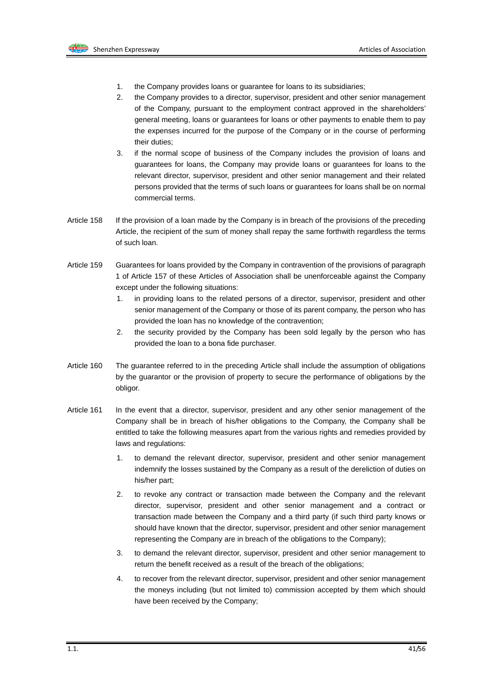

- 1. the Company provides loans or guarantee for loans to its subsidiaries;
- 2. the Company provides to a director, supervisor, president and other senior management of the Company, pursuant to the employment contract approved in the shareholders' general meeting, loans or guarantees for loans or other payments to enable them to pay the expenses incurred for the purpose of the Company or in the course of performing their duties;
- 3. if the normal scope of business of the Company includes the provision of loans and guarantees for loans, the Company may provide loans or guarantees for loans to the relevant director, supervisor, president and other senior management and their related persons provided that the terms of such loans or guarantees for loans shall be on normal commercial terms.
- Article 158 If the provision of a loan made by the Company is in breach of the provisions of the preceding Article, the recipient of the sum of money shall repay the same forthwith regardless the terms of such loan.
- Article 159 Guarantees for loans provided by the Company in contravention of the provisions of paragraph 1 of Article 157 of these Articles of Association shall be unenforceable against the Company except under the following situations:
	- 1. in providing loans to the related persons of a director, supervisor, president and other senior management of the Company or those of its parent company, the person who has provided the loan has no knowledge of the contravention;
	- 2. the security provided by the Company has been sold legally by the person who has provided the loan to a bona fide purchaser.
- Article 160 The guarantee referred to in the preceding Article shall include the assumption of obligations by the guarantor or the provision of property to secure the performance of obligations by the obligor.
- Article 161 In the event that a director, supervisor, president and any other senior management of the Company shall be in breach of his/her obligations to the Company, the Company shall be entitled to take the following measures apart from the various rights and remedies provided by laws and regulations:
	- 1. to demand the relevant director, supervisor, president and other senior management indemnify the losses sustained by the Company as a result of the dereliction of duties on his/her part;
	- 2. to revoke any contract or transaction made between the Company and the relevant director, supervisor, president and other senior management and a contract or transaction made between the Company and a third party (if such third party knows or should have known that the director, supervisor, president and other senior management representing the Company are in breach of the obligations to the Company);
	- 3. to demand the relevant director, supervisor, president and other senior management to return the benefit received as a result of the breach of the obligations;
	- 4. to recover from the relevant director, supervisor, president and other senior management the moneys including (but not limited to) commission accepted by them which should have been received by the Company;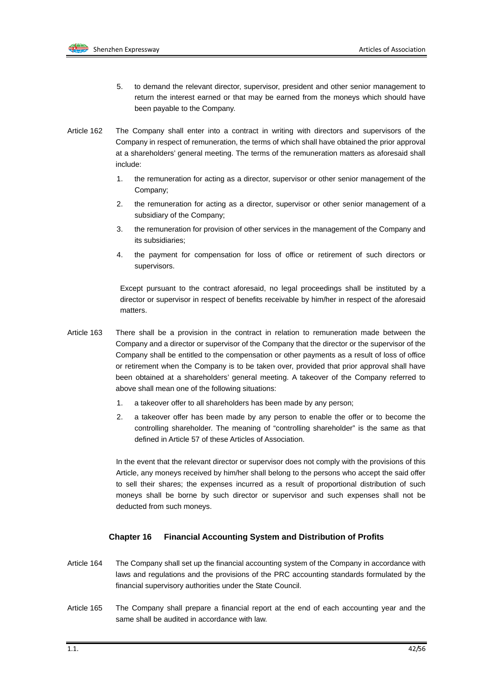

- 5. to demand the relevant director, supervisor, president and other senior management to return the interest earned or that may be earned from the moneys which should have been payable to the Company.
- Article 162 The Company shall enter into a contract in writing with directors and supervisors of the Company in respect of remuneration, the terms of which shall have obtained the prior approval at a shareholders' general meeting. The terms of the remuneration matters as aforesaid shall include:
	- 1. the remuneration for acting as a director, supervisor or other senior management of the Company;
	- 2. the remuneration for acting as a director, supervisor or other senior management of a subsidiary of the Company;
	- 3. the remuneration for provision of other services in the management of the Company and its subsidiaries;
	- 4. the payment for compensation for loss of office or retirement of such directors or supervisors.

Except pursuant to the contract aforesaid, no legal proceedings shall be instituted by a director or supervisor in respect of benefits receivable by him/her in respect of the aforesaid matters.

- Article 163 There shall be a provision in the contract in relation to remuneration made between the Company and a director or supervisor of the Company that the director or the supervisor of the Company shall be entitled to the compensation or other payments as a result of loss of office or retirement when the Company is to be taken over, provided that prior approval shall have been obtained at a shareholders' general meeting. A takeover of the Company referred to above shall mean one of the following situations:
	- 1. a takeover offer to all shareholders has been made by any person;
	- 2. a takeover offer has been made by any person to enable the offer or to become the controlling shareholder. The meaning of "controlling shareholder" is the same as that defined in Article 57 of these Articles of Association.

In the event that the relevant director or supervisor does not comply with the provisions of this Article, any moneys received by him/her shall belong to the persons who accept the said offer to sell their shares; the expenses incurred as a result of proportional distribution of such moneys shall be borne by such director or supervisor and such expenses shall not be deducted from such moneys.

### **Chapter 16 Financial Accounting System and Distribution of Profits**

- Article 164 The Company shall set up the financial accounting system of the Company in accordance with laws and regulations and the provisions of the PRC accounting standards formulated by the financial supervisory authorities under the State Council.
- Article 165 The Company shall prepare a financial report at the end of each accounting year and the same shall be audited in accordance with law.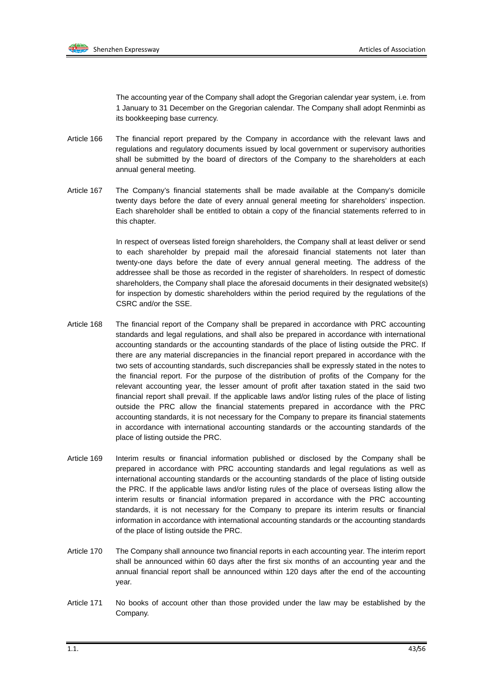

The accounting year of the Company shall adopt the Gregorian calendar year system, i.e. from 1 January to 31 December on the Gregorian calendar. The Company shall adopt Renminbi as its bookkeeping base currency.

- Article 166 The financial report prepared by the Company in accordance with the relevant laws and regulations and regulatory documents issued by local government or supervisory authorities shall be submitted by the board of directors of the Company to the shareholders at each annual general meeting.
- Article 167 The Company's financial statements shall be made available at the Company's domicile twenty days before the date of every annual general meeting for shareholders' inspection. Each shareholder shall be entitled to obtain a copy of the financial statements referred to in this chapter.

In respect of overseas listed foreign shareholders, the Company shall at least deliver or send to each shareholder by prepaid mail the aforesaid financial statements not later than twenty-one days before the date of every annual general meeting. The address of the addressee shall be those as recorded in the register of shareholders. In respect of domestic shareholders, the Company shall place the aforesaid documents in their designated website(s) for inspection by domestic shareholders within the period required by the regulations of the CSRC and/or the SSE.

- Article 168 The financial report of the Company shall be prepared in accordance with PRC accounting standards and legal regulations, and shall also be prepared in accordance with international accounting standards or the accounting standards of the place of listing outside the PRC. If there are any material discrepancies in the financial report prepared in accordance with the two sets of accounting standards, such discrepancies shall be expressly stated in the notes to the financial report. For the purpose of the distribution of profits of the Company for the relevant accounting year, the lesser amount of profit after taxation stated in the said two financial report shall prevail. If the applicable laws and/or listing rules of the place of listing outside the PRC allow the financial statements prepared in accordance with the PRC accounting standards, it is not necessary for the Company to prepare its financial statements in accordance with international accounting standards or the accounting standards of the place of listing outside the PRC.
- Article 169 Interim results or financial information published or disclosed by the Company shall be prepared in accordance with PRC accounting standards and legal regulations as well as international accounting standards or the accounting standards of the place of listing outside the PRC. If the applicable laws and/or listing rules of the place of overseas listing allow the interim results or financial information prepared in accordance with the PRC accounting standards, it is not necessary for the Company to prepare its interim results or financial information in accordance with international accounting standards or the accounting standards of the place of listing outside the PRC.
- Article 170 The Company shall announce two financial reports in each accounting year. The interim report shall be announced within 60 days after the first six months of an accounting year and the annual financial report shall be announced within 120 days after the end of the accounting year.
- Article 171 No books of account other than those provided under the law may be established by the Company.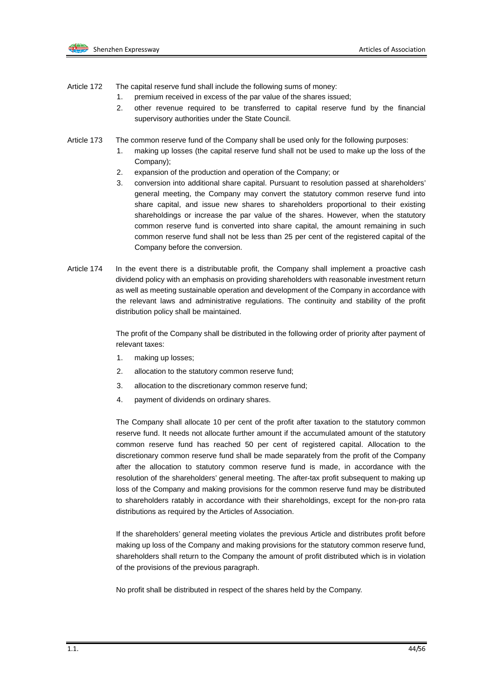

- Article 172 The capital reserve fund shall include the following sums of money:
	- 1. premium received in excess of the par value of the shares issued;
	- 2. other revenue required to be transferred to capital reserve fund by the financial supervisory authorities under the State Council.
- Article 173 The common reserve fund of the Company shall be used only for the following purposes:
	- 1. making up losses (the capital reserve fund shall not be used to make up the loss of the Company);
	- 2. expansion of the production and operation of the Company; or
	- 3. conversion into additional share capital. Pursuant to resolution passed at shareholders' general meeting, the Company may convert the statutory common reserve fund into share capital, and issue new shares to shareholders proportional to their existing shareholdings or increase the par value of the shares. However, when the statutory common reserve fund is converted into share capital, the amount remaining in such common reserve fund shall not be less than 25 per cent of the registered capital of the Company before the conversion.
- Article 174 In the event there is a distributable profit, the Company shall implement a proactive cash dividend policy with an emphasis on providing shareholders with reasonable investment return as well as meeting sustainable operation and development of the Company in accordance with the relevant laws and administrative regulations. The continuity and stability of the profit distribution policy shall be maintained.

The profit of the Company shall be distributed in the following order of priority after payment of relevant taxes:

- 1. making up losses;
- 2. allocation to the statutory common reserve fund;
- 3. allocation to the discretionary common reserve fund;
- 4. payment of dividends on ordinary shares.

The Company shall allocate 10 per cent of the profit after taxation to the statutory common reserve fund. It needs not allocate further amount if the accumulated amount of the statutory common reserve fund has reached 50 per cent of registered capital. Allocation to the discretionary common reserve fund shall be made separately from the profit of the Company after the allocation to statutory common reserve fund is made, in accordance with the resolution of the shareholders' general meeting. The after-tax profit subsequent to making up loss of the Company and making provisions for the common reserve fund may be distributed to shareholders ratably in accordance with their shareholdings, except for the non-pro rata distributions as required by the Articles of Association.

If the shareholders' general meeting violates the previous Article and distributes profit before making up loss of the Company and making provisions for the statutory common reserve fund, shareholders shall return to the Company the amount of profit distributed which is in violation of the provisions of the previous paragraph.

No profit shall be distributed in respect of the shares held by the Company.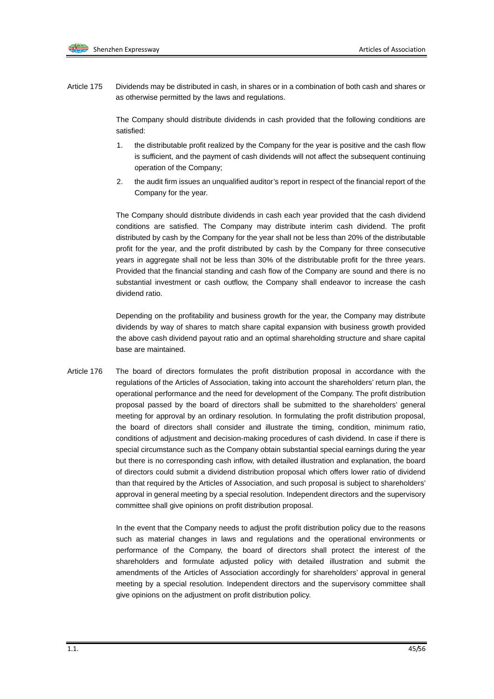Article 175 Dividends may be distributed in cash, in shares or in a combination of both cash and shares or as otherwise permitted by the laws and regulations.

> The Company should distribute dividends in cash provided that the following conditions are satisfied:

- 1. the distributable profit realized by the Company for the year is positive and the cash flow is sufficient, and the payment of cash dividends will not affect the subsequent continuing operation of the Company;
- 2. the audit firm issues an unqualified auditor's report in respect of the financial report of the Company for the year.

The Company should distribute dividends in cash each year provided that the cash dividend conditions are satisfied. The Company may distribute interim cash dividend. The profit distributed by cash by the Company for the year shall not be less than 20% of the distributable profit for the year, and the profit distributed by cash by the Company for three consecutive years in aggregate shall not be less than 30% of the distributable profit for the three years. Provided that the financial standing and cash flow of the Company are sound and there is no substantial investment or cash outflow, the Company shall endeavor to increase the cash dividend ratio.

Depending on the profitability and business growth for the year, the Company may distribute dividends by way of shares to match share capital expansion with business growth provided the above cash dividend payout ratio and an optimal shareholding structure and share capital base are maintained.

Article 176 The board of directors formulates the profit distribution proposal in accordance with the regulations of the Articles of Association, taking into account the shareholders' return plan, the operational performance and the need for development of the Company. The profit distribution proposal passed by the board of directors shall be submitted to the shareholders' general meeting for approval by an ordinary resolution. In formulating the profit distribution proposal, the board of directors shall consider and illustrate the timing, condition, minimum ratio, conditions of adjustment and decision-making procedures of cash dividend. In case if there is special circumstance such as the Company obtain substantial special earnings during the year but there is no corresponding cash inflow, with detailed illustration and explanation, the board of directors could submit a dividend distribution proposal which offers lower ratio of dividend than that required by the Articles of Association, and such proposal is subject to shareholders' approval in general meeting by a special resolution. Independent directors and the supervisory committee shall give opinions on profit distribution proposal.

> In the event that the Company needs to adjust the profit distribution policy due to the reasons such as material changes in laws and regulations and the operational environments or performance of the Company, the board of directors shall protect the interest of the shareholders and formulate adjusted policy with detailed illustration and submit the amendments of the Articles of Association accordingly for shareholders' approval in general meeting by a special resolution. Independent directors and the supervisory committee shall give opinions on the adjustment on profit distribution policy.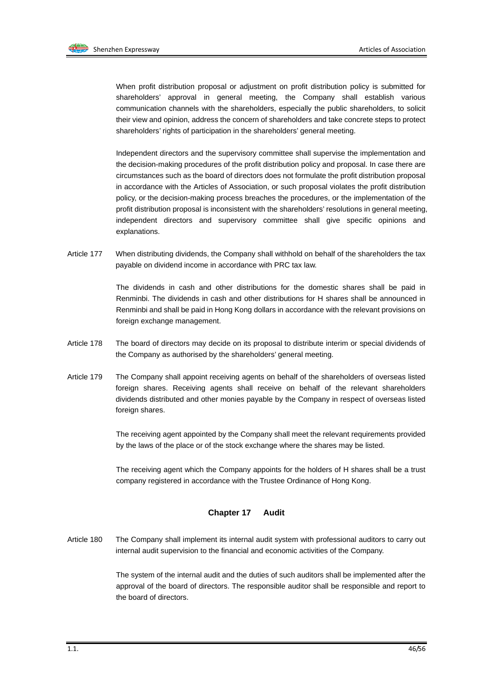

When profit distribution proposal or adjustment on profit distribution policy is submitted for shareholders' approval in general meeting, the Company shall establish various communication channels with the shareholders, especially the public shareholders, to solicit their view and opinion, address the concern of shareholders and take concrete steps to protect shareholders' rights of participation in the shareholders' general meeting.

Independent directors and the supervisory committee shall supervise the implementation and the decision-making procedures of the profit distribution policy and proposal. In case there are circumstances such as the board of directors does not formulate the profit distribution proposal in accordance with the Articles of Association, or such proposal violates the profit distribution policy, or the decision-making process breaches the procedures, or the implementation of the profit distribution proposal is inconsistent with the shareholders' resolutions in general meeting, independent directors and supervisory committee shall give specific opinions and explanations.

Article 177 When distributing dividends, the Company shall withhold on behalf of the shareholders the tax payable on dividend income in accordance with PRC tax law.

> The dividends in cash and other distributions for the domestic shares shall be paid in Renminbi. The dividends in cash and other distributions for H shares shall be announced in Renminbi and shall be paid in Hong Kong dollars in accordance with the relevant provisions on foreign exchange management.

- Article 178 The board of directors may decide on its proposal to distribute interim or special dividends of the Company as authorised by the shareholders' general meeting.
- Article 179 The Company shall appoint receiving agents on behalf of the shareholders of overseas listed foreign shares. Receiving agents shall receive on behalf of the relevant shareholders dividends distributed and other monies payable by the Company in respect of overseas listed foreign shares.

The receiving agent appointed by the Company shall meet the relevant requirements provided by the laws of the place or of the stock exchange where the shares may be listed.

The receiving agent which the Company appoints for the holders of H shares shall be a trust company registered in accordance with the Trustee Ordinance of Hong Kong.

#### **Chapter 17 Audit**

Article 180 The Company shall implement its internal audit system with professional auditors to carry out internal audit supervision to the financial and economic activities of the Company.

> The system of the internal audit and the duties of such auditors shall be implemented after the approval of the board of directors. The responsible auditor shall be responsible and report to the board of directors.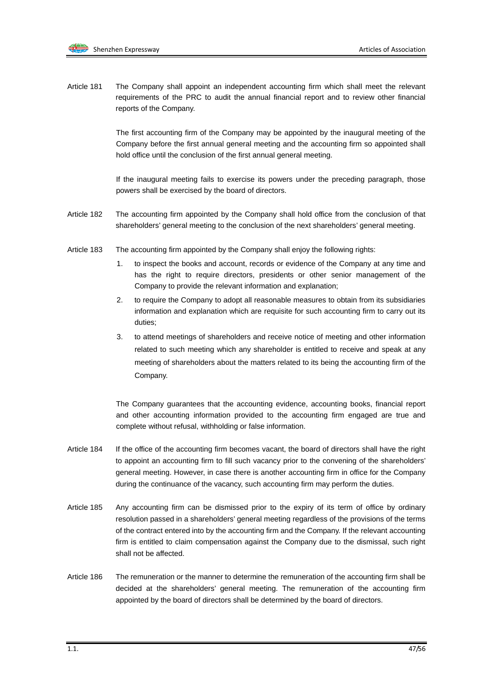

Article 181 The Company shall appoint an independent accounting firm which shall meet the relevant requirements of the PRC to audit the annual financial report and to review other financial reports of the Company.

> The first accounting firm of the Company may be appointed by the inaugural meeting of the Company before the first annual general meeting and the accounting firm so appointed shall hold office until the conclusion of the first annual general meeting.

> If the inaugural meeting fails to exercise its powers under the preceding paragraph, those powers shall be exercised by the board of directors.

- Article 182 The accounting firm appointed by the Company shall hold office from the conclusion of that shareholders' general meeting to the conclusion of the next shareholders' general meeting.
- Article 183 The accounting firm appointed by the Company shall enjoy the following rights:
	- 1. to inspect the books and account, records or evidence of the Company at any time and has the right to require directors, presidents or other senior management of the Company to provide the relevant information and explanation;
	- 2. to require the Company to adopt all reasonable measures to obtain from its subsidiaries information and explanation which are requisite for such accounting firm to carry out its duties;
	- 3. to attend meetings of shareholders and receive notice of meeting and other information related to such meeting which any shareholder is entitled to receive and speak at any meeting of shareholders about the matters related to its being the accounting firm of the Company.

The Company guarantees that the accounting evidence, accounting books, financial report and other accounting information provided to the accounting firm engaged are true and complete without refusal, withholding or false information.

- Article 184 If the office of the accounting firm becomes vacant, the board of directors shall have the right to appoint an accounting firm to fill such vacancy prior to the convening of the shareholders' general meeting. However, in case there is another accounting firm in office for the Company during the continuance of the vacancy, such accounting firm may perform the duties.
- Article 185 Any accounting firm can be dismissed prior to the expiry of its term of office by ordinary resolution passed in a shareholders' general meeting regardless of the provisions of the terms of the contract entered into by the accounting firm and the Company. If the relevant accounting firm is entitled to claim compensation against the Company due to the dismissal, such right shall not be affected.
- Article 186 The remuneration or the manner to determine the remuneration of the accounting firm shall be decided at the shareholders' general meeting. The remuneration of the accounting firm appointed by the board of directors shall be determined by the board of directors.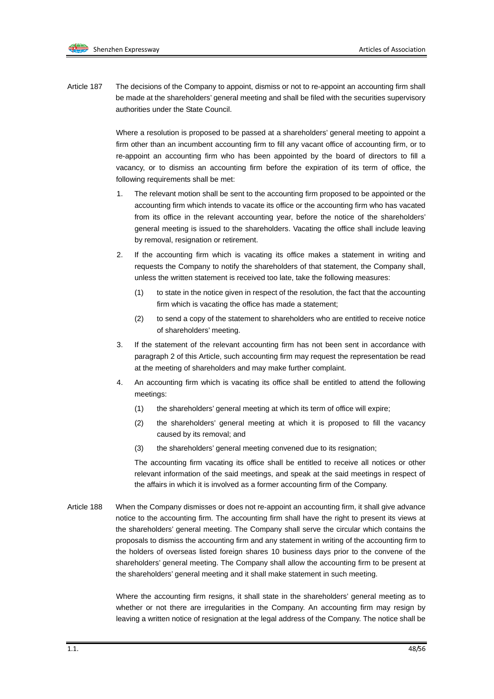Article 187 The decisions of the Company to appoint, dismiss or not to re-appoint an accounting firm shall be made at the shareholders' general meeting and shall be filed with the securities supervisory authorities under the State Council.

> Where a resolution is proposed to be passed at a shareholders' general meeting to appoint a firm other than an incumbent accounting firm to fill any vacant office of accounting firm, or to re-appoint an accounting firm who has been appointed by the board of directors to fill a vacancy, or to dismiss an accounting firm before the expiration of its term of office, the following requirements shall be met:

- 1. The relevant motion shall be sent to the accounting firm proposed to be appointed or the accounting firm which intends to vacate its office or the accounting firm who has vacated from its office in the relevant accounting year, before the notice of the shareholders' general meeting is issued to the shareholders. Vacating the office shall include leaving by removal, resignation or retirement.
- 2. If the accounting firm which is vacating its office makes a statement in writing and requests the Company to notify the shareholders of that statement, the Company shall, unless the written statement is received too late, take the following measures:
	- (1) to state in the notice given in respect of the resolution, the fact that the accounting firm which is vacating the office has made a statement;
	- (2) to send a copy of the statement to shareholders who are entitled to receive notice of shareholders' meeting.
- 3. If the statement of the relevant accounting firm has not been sent in accordance with paragraph 2 of this Article, such accounting firm may request the representation be read at the meeting of shareholders and may make further complaint.
- 4. An accounting firm which is vacating its office shall be entitled to attend the following meetings:
	- (1) the shareholders' general meeting at which its term of office will expire;
	- (2) the shareholders' general meeting at which it is proposed to fill the vacancy caused by its removal; and
	- (3) the shareholders' general meeting convened due to its resignation;

The accounting firm vacating its office shall be entitled to receive all notices or other relevant information of the said meetings, and speak at the said meetings in respect of the affairs in which it is involved as a former accounting firm of the Company.

Article 188 When the Company dismisses or does not re-appoint an accounting firm, it shall give advance notice to the accounting firm. The accounting firm shall have the right to present its views at the shareholders' general meeting. The Company shall serve the circular which contains the proposals to dismiss the accounting firm and any statement in writing of the accounting firm to the holders of overseas listed foreign shares 10 business days prior to the convene of the shareholders' general meeting. The Company shall allow the accounting firm to be present at the shareholders' general meeting and it shall make statement in such meeting.

> Where the accounting firm resigns, it shall state in the shareholders' general meeting as to whether or not there are irregularities in the Company. An accounting firm may resign by leaving a written notice of resignation at the legal address of the Company. The notice shall be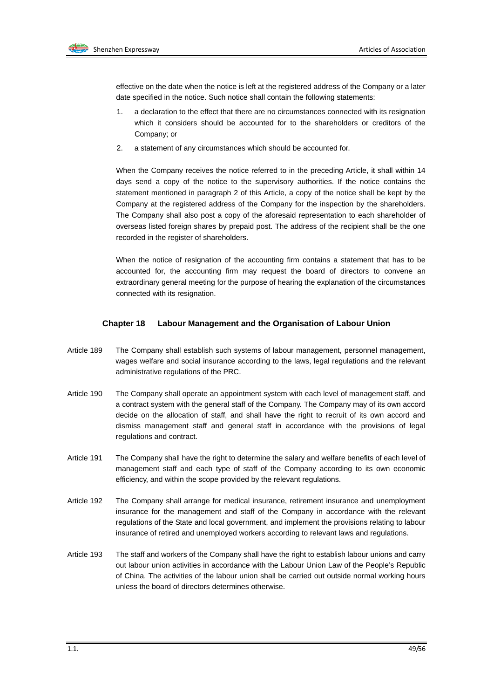effective on the date when the notice is left at the registered address of the Company or a later date specified in the notice. Such notice shall contain the following statements:

- 1. a declaration to the effect that there are no circumstances connected with its resignation which it considers should be accounted for to the shareholders or creditors of the Company; or
- 2. a statement of any circumstances which should be accounted for.

When the Company receives the notice referred to in the preceding Article, it shall within 14 days send a copy of the notice to the supervisory authorities. If the notice contains the statement mentioned in paragraph 2 of this Article, a copy of the notice shall be kept by the Company at the registered address of the Company for the inspection by the shareholders. The Company shall also post a copy of the aforesaid representation to each shareholder of overseas listed foreign shares by prepaid post. The address of the recipient shall be the one recorded in the register of shareholders.

When the notice of resignation of the accounting firm contains a statement that has to be accounted for, the accounting firm may request the board of directors to convene an extraordinary general meeting for the purpose of hearing the explanation of the circumstances connected with its resignation.

#### **Chapter 18 Labour Management and the Organisation of Labour Union**

- Article 189 The Company shall establish such systems of labour management, personnel management, wages welfare and social insurance according to the laws, legal regulations and the relevant administrative regulations of the PRC.
- Article 190 The Company shall operate an appointment system with each level of management staff, and a contract system with the general staff of the Company. The Company may of its own accord decide on the allocation of staff, and shall have the right to recruit of its own accord and dismiss management staff and general staff in accordance with the provisions of legal regulations and contract.
- Article 191 The Company shall have the right to determine the salary and welfare benefits of each level of management staff and each type of staff of the Company according to its own economic efficiency, and within the scope provided by the relevant regulations.
- Article 192 The Company shall arrange for medical insurance, retirement insurance and unemployment insurance for the management and staff of the Company in accordance with the relevant regulations of the State and local government, and implement the provisions relating to labour insurance of retired and unemployed workers according to relevant laws and regulations.
- Article 193 The staff and workers of the Company shall have the right to establish labour unions and carry out labour union activities in accordance with the Labour Union Law of the People's Republic of China. The activities of the labour union shall be carried out outside normal working hours unless the board of directors determines otherwise.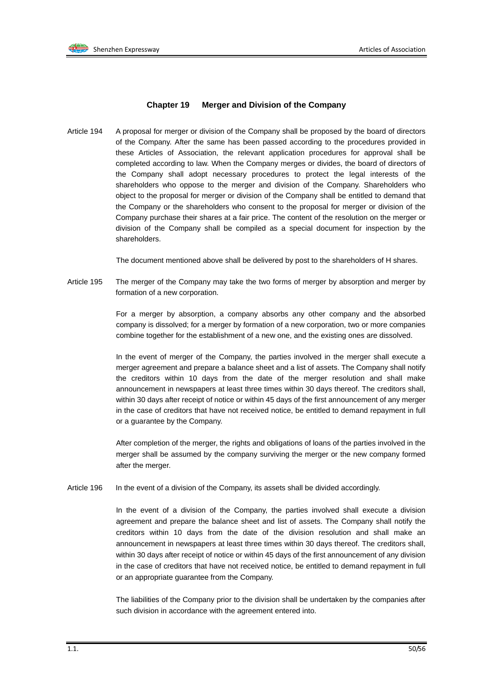#### **Chapter 19 Merger and Division of the Company**

Article 194 A proposal for merger or division of the Company shall be proposed by the board of directors of the Company. After the same has been passed according to the procedures provided in these Articles of Association, the relevant application procedures for approval shall be completed according to law. When the Company merges or divides, the board of directors of the Company shall adopt necessary procedures to protect the legal interests of the shareholders who oppose to the merger and division of the Company. Shareholders who object to the proposal for merger or division of the Company shall be entitled to demand that the Company or the shareholders who consent to the proposal for merger or division of the Company purchase their shares at a fair price. The content of the resolution on the merger or division of the Company shall be compiled as a special document for inspection by the shareholders.

The document mentioned above shall be delivered by post to the shareholders of H shares.

Article 195 The merger of the Company may take the two forms of merger by absorption and merger by formation of a new corporation.

> For a merger by absorption, a company absorbs any other company and the absorbed company is dissolved; for a merger by formation of a new corporation, two or more companies combine together for the establishment of a new one, and the existing ones are dissolved.

> In the event of merger of the Company, the parties involved in the merger shall execute a merger agreement and prepare a balance sheet and a list of assets. The Company shall notify the creditors within 10 days from the date of the merger resolution and shall make announcement in newspapers at least three times within 30 days thereof. The creditors shall, within 30 days after receipt of notice or within 45 days of the first announcement of any merger in the case of creditors that have not received notice, be entitled to demand repayment in full or a guarantee by the Company.

> After completion of the merger, the rights and obligations of loans of the parties involved in the merger shall be assumed by the company surviving the merger or the new company formed after the merger.

Article 196 In the event of a division of the Company, its assets shall be divided accordingly.

In the event of a division of the Company, the parties involved shall execute a division agreement and prepare the balance sheet and list of assets. The Company shall notify the creditors within 10 days from the date of the division resolution and shall make an announcement in newspapers at least three times within 30 days thereof. The creditors shall, within 30 days after receipt of notice or within 45 days of the first announcement of any division in the case of creditors that have not received notice, be entitled to demand repayment in full or an appropriate guarantee from the Company.

The liabilities of the Company prior to the division shall be undertaken by the companies after such division in accordance with the agreement entered into.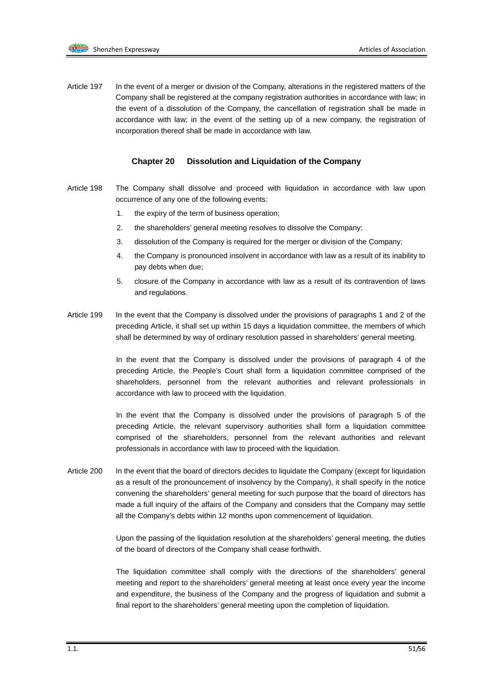Article 197 In the event of a merger or division of the Company, alterations in the registered matters of the Company shall be registered at the company registration authorities in accordance with law; in the event of a dissolution of the Company, the cancellation of registration shall be made in accordance with law; in the event of the setting up of a new company, the registration of incorporation thereof shall be made in accordance with law.

#### **Chapter 20 Dissolution and Liquidation of the Company**

- Article 198 The Company shall dissolve and proceed with liquidation in accordance with law upon occurrence of any one of the following events:
	- 1. the expiry of the term of business operation;
	- 2. the shareholders' general meeting resolves to dissolve the Company;
	- 3. dissolution of the Company is required for the merger or division of the Company;
	- 4. the Company is pronounced insolvent in accordance with law as a result of its inability to pay debts when due;
	- 5. closure of the Company in accordance with law as a result of its contravention of laws and regulations.
- Article 199 In the event that the Company is dissolved under the provisions of paragraphs 1 and 2 of the preceding Article, it shall set up within 15 days a liquidation committee, the members of which shall be determined by way of ordinary resolution passed in shareholders' general meeting.

In the event that the Company is dissolved under the provisions of paragraph 4 of the preceding Article, the People's Court shall form a liquidation committee comprised of the shareholders, personnel from the relevant authorities and relevant professionals in accordance with law to proceed with the liquidation.

In the event that the Company is dissolved under the provisions of paragraph 5 of the preceding Article, the relevant supervisory authorities shall form a liquidation committee comprised of the shareholders, personnel from the relevant authorities and relevant professionals in accordance with law to proceed with the liquidation.

Article 200 In the event that the board of directors decides to liquidate the Company (except for liquidation as a result of the pronouncement of insolvency by the Company), it shall specify in the notice convening the shareholders' general meeting for such purpose that the board of directors has made a full inquiry of the affairs of the Company and considers that the Company may settle all the Company's debts within 12 months upon commencement of liquidation.

> Upon the passing of the liquidation resolution at the shareholders' general meeting, the duties of the board of directors of the Company shall cease forthwith.

> The liquidation committee shall comply with the directions of the shareholders' general meeting and report to the shareholders' general meeting at least once every year the income and expenditure, the business of the Company and the progress of liquidation and submit a final report to the shareholders' general meeting upon the completion of liquidation.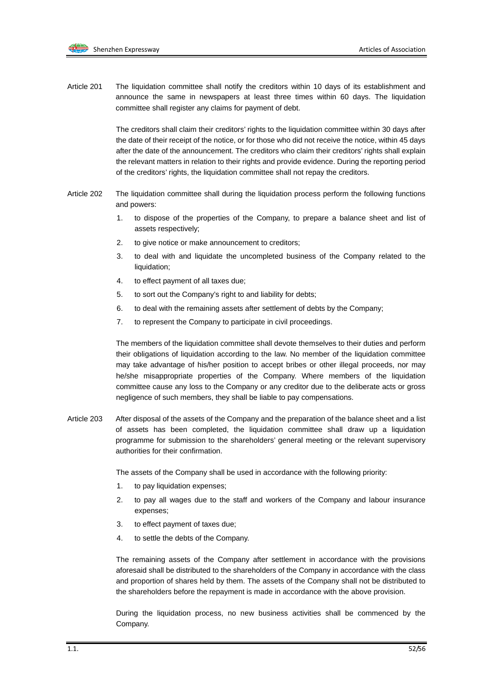Article 201 The liquidation committee shall notify the creditors within 10 days of its establishment and announce the same in newspapers at least three times within 60 days. The liquidation committee shall register any claims for payment of debt.

> The creditors shall claim their creditors' rights to the liquidation committee within 30 days after the date of their receipt of the notice, or for those who did not receive the notice, within 45 days after the date of the announcement. The creditors who claim their creditors' rights shall explain the relevant matters in relation to their rights and provide evidence. During the reporting period of the creditors' rights, the liquidation committee shall not repay the creditors.

- Article 202 The liquidation committee shall during the liquidation process perform the following functions and powers:
	- 1. to dispose of the properties of the Company, to prepare a balance sheet and list of assets respectively;
	- 2. to give notice or make announcement to creditors;
	- 3. to deal with and liquidate the uncompleted business of the Company related to the liquidation;
	- 4. to effect payment of all taxes due;
	- 5. to sort out the Company's right to and liability for debts;
	- 6. to deal with the remaining assets after settlement of debts by the Company;
	- 7. to represent the Company to participate in civil proceedings.

The members of the liquidation committee shall devote themselves to their duties and perform their obligations of liquidation according to the law. No member of the liquidation committee may take advantage of his/her position to accept bribes or other illegal proceeds, nor may he/she misappropriate properties of the Company. Where members of the liquidation committee cause any loss to the Company or any creditor due to the deliberate acts or gross negligence of such members, they shall be liable to pay compensations.

Article 203 After disposal of the assets of the Company and the preparation of the balance sheet and a list of assets has been completed, the liquidation committee shall draw up a liquidation programme for submission to the shareholders' general meeting or the relevant supervisory authorities for their confirmation.

The assets of the Company shall be used in accordance with the following priority:

- 1. to pay liquidation expenses;
- 2. to pay all wages due to the staff and workers of the Company and labour insurance expenses;
- 3. to effect payment of taxes due;
- 4. to settle the debts of the Company.

The remaining assets of the Company after settlement in accordance with the provisions aforesaid shall be distributed to the shareholders of the Company in accordance with the class and proportion of shares held by them. The assets of the Company shall not be distributed to the shareholders before the repayment is made in accordance with the above provision.

During the liquidation process, no new business activities shall be commenced by the Company.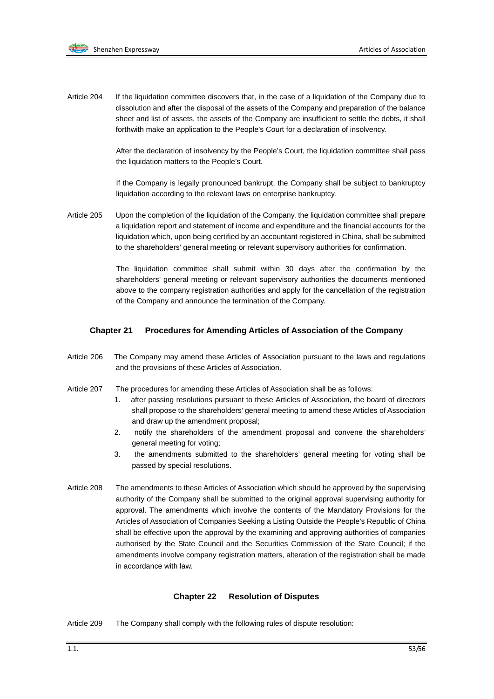

Article 204 If the liquidation committee discovers that, in the case of a liquidation of the Company due to dissolution and after the disposal of the assets of the Company and preparation of the balance sheet and list of assets, the assets of the Company are insufficient to settle the debts, it shall forthwith make an application to the People's Court for a declaration of insolvency.

> After the declaration of insolvency by the People's Court, the liquidation committee shall pass the liquidation matters to the People's Court.

> If the Company is legally pronounced bankrupt, the Company shall be subject to bankruptcy liquidation according to the relevant laws on enterprise bankruptcy.

Article 205 Upon the completion of the liquidation of the Company, the liquidation committee shall prepare a liquidation report and statement of income and expenditure and the financial accounts for the liquidation which, upon being certified by an accountant registered in China, shall be submitted to the shareholders' general meeting or relevant supervisory authorities for confirmation.

> The liquidation committee shall submit within 30 days after the confirmation by the shareholders' general meeting or relevant supervisory authorities the documents mentioned above to the company registration authorities and apply for the cancellation of the registration of the Company and announce the termination of the Company.

#### **Chapter 21 Procedures for Amending Articles of Association of the Company**

- Article 206 The Company may amend these Articles of Association pursuant to the laws and regulations and the provisions of these Articles of Association.
- Article 207 The procedures for amending these Articles of Association shall be as follows:
	- 1. after passing resolutions pursuant to these Articles of Association, the board of directors shall propose to the shareholders' general meeting to amend these Articles of Association and draw up the amendment proposal;
	- 2. notify the shareholders of the amendment proposal and convene the shareholders' general meeting for voting;
	- 3. the amendments submitted to the shareholders' general meeting for voting shall be passed by special resolutions.
- Article 208 The amendments to these Articles of Association which should be approved by the supervising authority of the Company shall be submitted to the original approval supervising authority for approval. The amendments which involve the contents of the Mandatory Provisions for the Articles of Association of Companies Seeking a Listing Outside the People's Republic of China shall be effective upon the approval by the examining and approving authorities of companies authorised by the State Council and the Securities Commission of the State Council; if the amendments involve company registration matters, alteration of the registration shall be made in accordance with law.

#### **Chapter 22 Resolution of Disputes**

Article 209 The Company shall comply with the following rules of dispute resolution: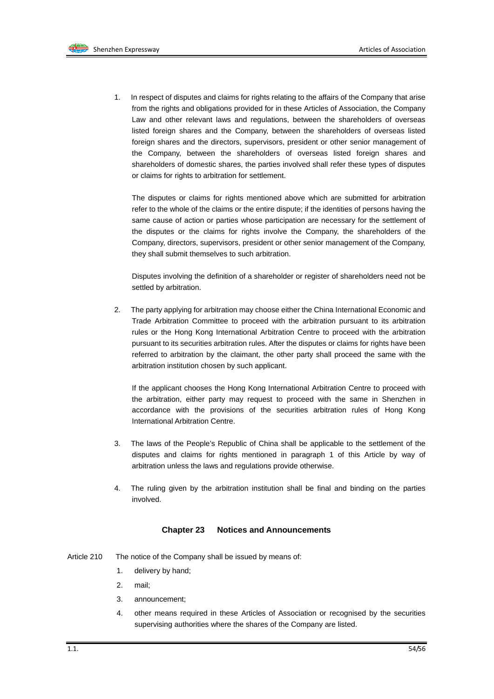1. In respect of disputes and claims for rights relating to the affairs of the Company that arise from the rights and obligations provided for in these Articles of Association, the Company Law and other relevant laws and regulations, between the shareholders of overseas listed foreign shares and the Company, between the shareholders of overseas listed foreign shares and the directors, supervisors, president or other senior management of the Company, between the shareholders of overseas listed foreign shares and shareholders of domestic shares, the parties involved shall refer these types of disputes or claims for rights to arbitration for settlement.

The disputes or claims for rights mentioned above which are submitted for arbitration refer to the whole of the claims or the entire dispute; if the identities of persons having the same cause of action or parties whose participation are necessary for the settlement of the disputes or the claims for rights involve the Company, the shareholders of the Company, directors, supervisors, president or other senior management of the Company, they shall submit themselves to such arbitration.

Disputes involving the definition of a shareholder or register of shareholders need not be settled by arbitration.

2. The party applying for arbitration may choose either the China International Economic and Trade Arbitration Committee to proceed with the arbitration pursuant to its arbitration rules or the Hong Kong International Arbitration Centre to proceed with the arbitration pursuant to its securities arbitration rules. After the disputes or claims for rights have been referred to arbitration by the claimant, the other party shall proceed the same with the arbitration institution chosen by such applicant.

If the applicant chooses the Hong Kong International Arbitration Centre to proceed with the arbitration, either party may request to proceed with the same in Shenzhen in accordance with the provisions of the securities arbitration rules of Hong Kong International Arbitration Centre.

- 3. The laws of the People's Republic of China shall be applicable to the settlement of the disputes and claims for rights mentioned in paragraph 1 of this Article by way of arbitration unless the laws and regulations provide otherwise.
- 4. The ruling given by the arbitration institution shall be final and binding on the parties involved.

#### **Chapter 23 Notices and Announcements**

- Article 210 The notice of the Company shall be issued by means of:
	- 1. delivery by hand;
	- 2. mail;
	- 3. announcement;
	- 4. other means required in these Articles of Association or recognised by the securities supervising authorities where the shares of the Company are listed.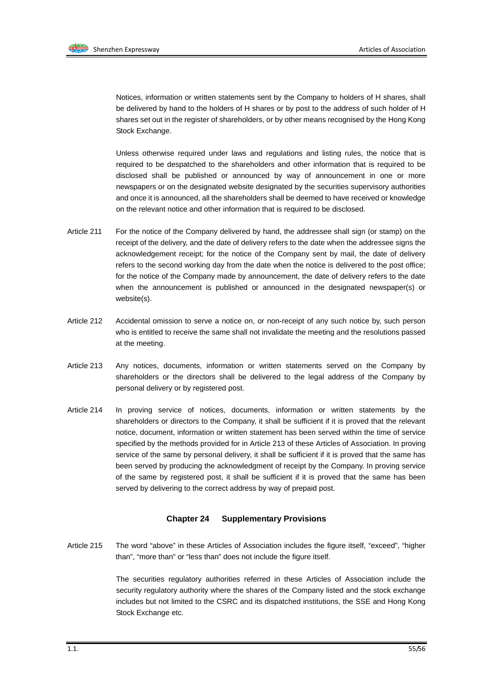Notices, information or written statements sent by the Company to holders of H shares, shall be delivered by hand to the holders of H shares or by post to the address of such holder of H shares set out in the register of shareholders, or by other means recognised by the Hong Kong Stock Exchange.

Unless otherwise required under laws and regulations and listing rules, the notice that is required to be despatched to the shareholders and other information that is required to be disclosed shall be published or announced by way of announcement in one or more newspapers or on the designated website designated by the securities supervisory authorities and once it is announced, all the shareholders shall be deemed to have received or knowledge on the relevant notice and other information that is required to be disclosed.

- Article 211 For the notice of the Company delivered by hand, the addressee shall sign (or stamp) on the receipt of the delivery, and the date of delivery refers to the date when the addressee signs the acknowledgement receipt; for the notice of the Company sent by mail, the date of delivery refers to the second working day from the date when the notice is delivered to the post office; for the notice of the Company made by announcement, the date of delivery refers to the date when the announcement is published or announced in the designated newspaper(s) or website(s).
- Article 212 Accidental omission to serve a notice on, or non-receipt of any such notice by, such person who is entitled to receive the same shall not invalidate the meeting and the resolutions passed at the meeting.
- Article 213 Any notices, documents, information or written statements served on the Company by shareholders or the directors shall be delivered to the legal address of the Company by personal delivery or by registered post.
- Article 214 In proving service of notices, documents, information or written statements by the shareholders or directors to the Company, it shall be sufficient if it is proved that the relevant notice, document, information or written statement has been served within the time of service specified by the methods provided for in Article 213 of these Articles of Association. In proving service of the same by personal delivery, it shall be sufficient if it is proved that the same has been served by producing the acknowledgment of receipt by the Company. In proving service of the same by registered post, it shall be sufficient if it is proved that the same has been served by delivering to the correct address by way of prepaid post.

#### **Chapter 24 Supplementary Provisions**

Article 215 The word "above" in these Articles of Association includes the figure itself, "exceed", "higher than", "more than" or "less than" does not include the figure itself.

> The securities regulatory authorities referred in these Articles of Association include the security regulatory authority where the shares of the Company listed and the stock exchange includes but not limited to the CSRC and its dispatched institutions, the SSE and Hong Kong Stock Exchange etc.